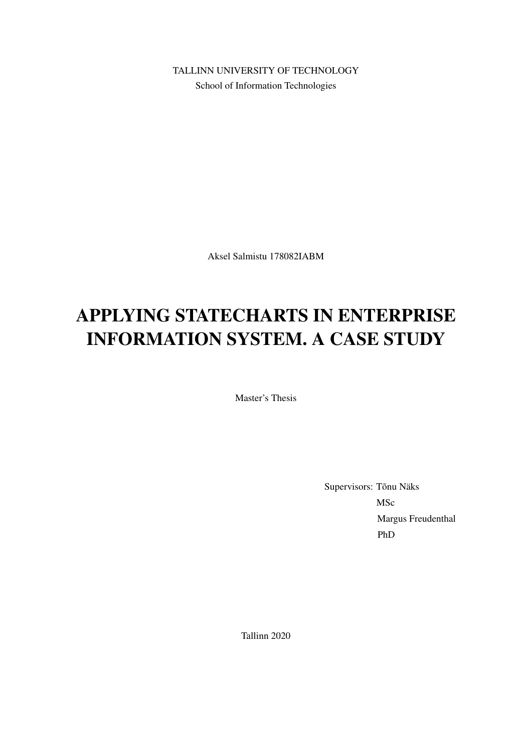TALLINN UNIVERSITY OF TECHNOLOGY

School of Information Technologies

Aksel Salmistu 178082IABM

# APPLYING STATECHARTS IN ENTERPRISE INFORMATION SYSTEM. A CASE STUDY

Master's Thesis

Supervisors: Tõnu Näks MSc Margus Freudenthal PhD

Tallinn 2020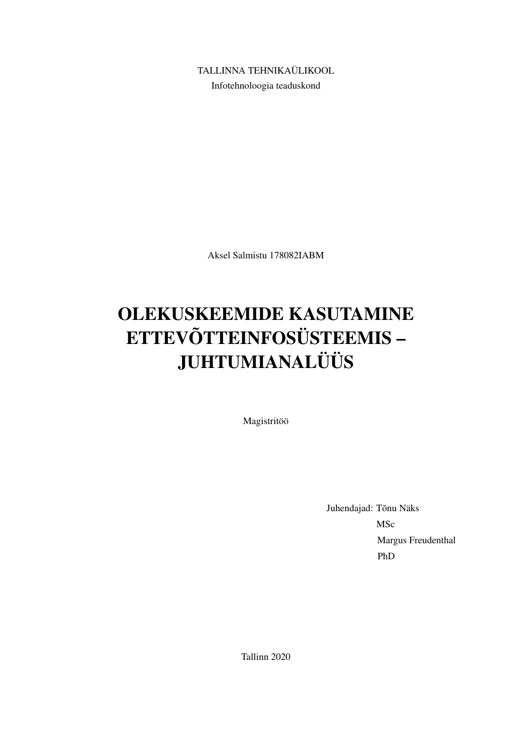TALLINNA TEHNIKAÜLIKOOL Infotehnoloogia teaduskond

Aksel Salmistu 178082IABM

# OLEKUSKEEMIDE KASUTAMINE ETTEVÕTTEINFOSÜSTEEMIS-**JUHTUMIANALÜÜS**

Magistritöö

Juhendajad: Tõnu Näks MSc Margus Freudenthal PhD

Tallinn 2020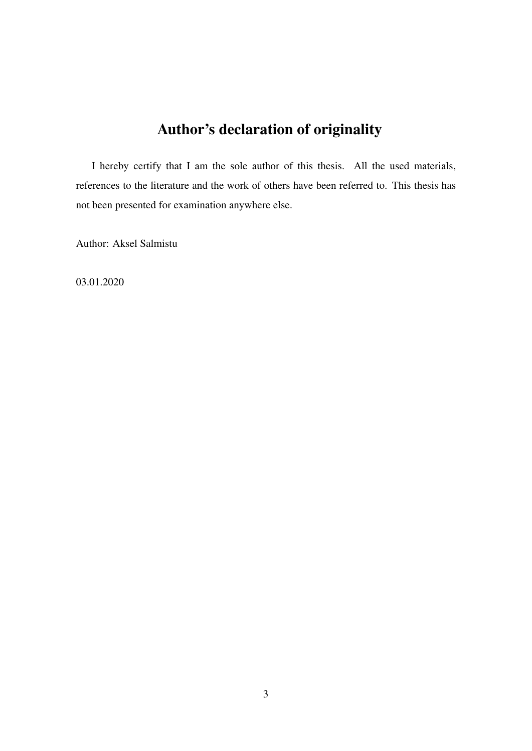### Author's declaration of originality

I hereby certify that I am the sole author of this thesis. All the used materials, references to the literature and the work of others have been referred to. This thesis has not been presented for examination anywhere else.

Author: Aksel Salmistu

03.01.2020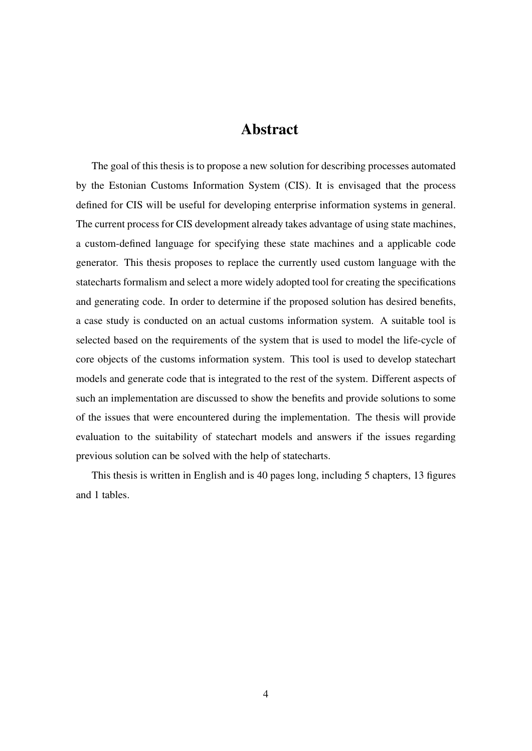### Abstract

The goal of this thesis is to propose a new solution for describing processes automated by the Estonian Customs Information System (CIS). It is envisaged that the process defined for CIS will be useful for developing enterprise information systems in general. The current process for CIS development already takes advantage of using state machines, a custom-defined language for specifying these state machines and a applicable code generator. This thesis proposes to replace the currently used custom language with the statecharts formalism and select a more widely adopted tool for creating the specifications and generating code. In order to determine if the proposed solution has desired benefits, a case study is conducted on an actual customs information system. A suitable tool is selected based on the requirements of the system that is used to model the life-cycle of core objects of the customs information system. This tool is used to develop statechart models and generate code that is integrated to the rest of the system. Different aspects of such an implementation are discussed to show the benefits and provide solutions to some of the issues that were encountered during the implementation. The thesis will provide evaluation to the suitability of statechart models and answers if the issues regarding previous solution can be solved with the help of statecharts.

This thesis is written in English and is 40 pages long, including 5 chapters, 13 figures and 1 tables.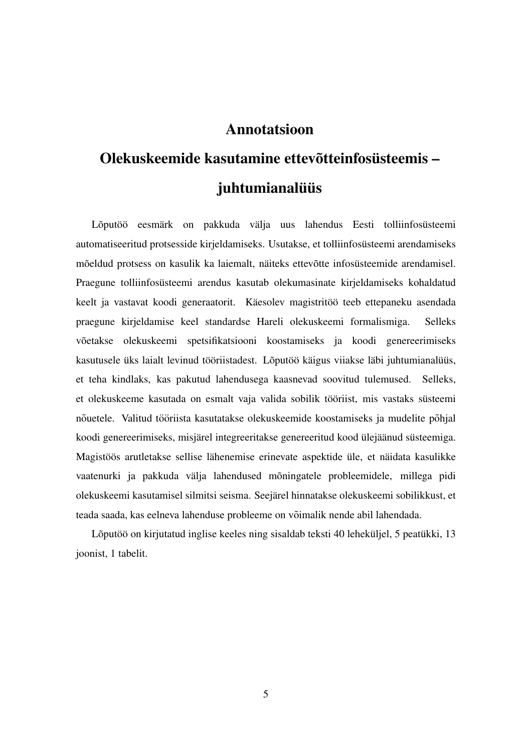### Annotatsioon

# Olekuskeemide kasutamine ettevõtteinfosüsteemis – juhtumianalüüs

Lõputöö eesmärk on pakkuda välja uus lahendus Eesti tolliinfosüsteemi automatiseeritud protsesside kirjeldamiseks. Usutakse, et tolliinfosüsteemi arendamiseks mõeldud protsess on kasulik ka laiemalt, näiteks ettevõtte infosüsteemide arendamisel. Praegune tolliinfosüsteemi arendus kasutab olekumasinate kirjeldamiseks kohaldatud keelt ja vastavat koodi generaatorit. Käesolev magistritöö teeb ettepaneku asendada praegune kirjeldamise keel standardse Hareli olekuskeemi formalismiga. Selleks võetakse olekuskeemi spetsifikatsiooni koostamiseks ja koodi genereerimiseks kasutusele üks laialt levinud tööriistadest. Lõputöö käigus viiakse läbi juhtumianalüüs, et teha kindlaks, kas pakutud lahendusega kaasnevad soovitud tulemused. Selleks, et olekuskeeme kasutada on esmalt vaja valida sobilik tööriist, mis vastaks süsteemi nõuetele. Valitud tööriista kasutatakse olekuskeemide koostamiseks ja mudelite põhjal koodi genereerimiseks, misjärel integreeritakse genereeritud kood ülejäänud süsteemiga. Magistöös arutletakse sellise lähenemise erinevate aspektide üle, et näidata kasulikke vaatenurki ja pakkuda välja lahendused mõningatele probleemidele, millega pidi olekuskeemi kasutamisel silmitsi seisma. Seejarel hinnatakse olekuskeemi sobilikkust, et ¨ teada saada, kas eelneva lahenduse probleeme on võimalik nende abil lahendada.

Lõputöö on kirjutatud inglise keeles ning sisaldab teksti 40 leheküljel, 5 peatükki, 13 joonist, 1 tabelit.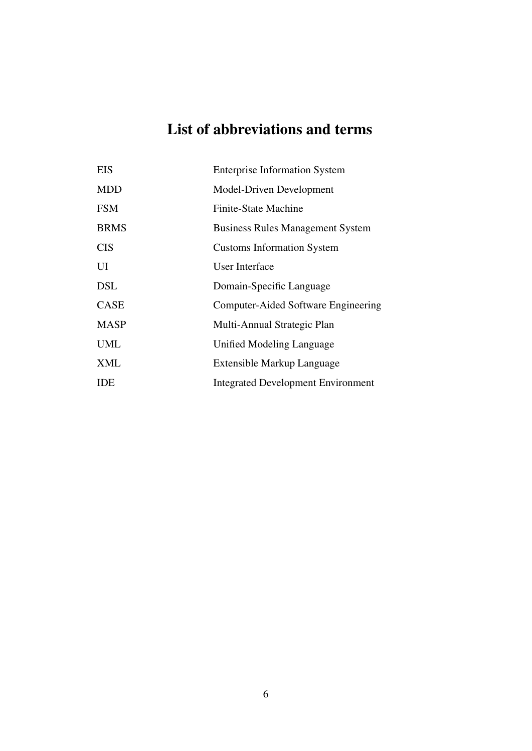## List of abbreviations and terms

| <b>EIS</b>  | <b>Enterprise Information System</b>      |
|-------------|-------------------------------------------|
| <b>MDD</b>  | Model-Driven Development                  |
| <b>FSM</b>  | Finite-State Machine                      |
| <b>BRMS</b> | <b>Business Rules Management System</b>   |
| <b>CIS</b>  | <b>Customs Information System</b>         |
| UI          | User Interface                            |
| <b>DSL</b>  | Domain-Specific Language                  |
| <b>CASE</b> | Computer-Aided Software Engineering       |
| <b>MASP</b> | Multi-Annual Strategic Plan               |
| UML         | Unified Modeling Language                 |
| XML         | Extensible Markup Language                |
| IDE         | <b>Integrated Development Environment</b> |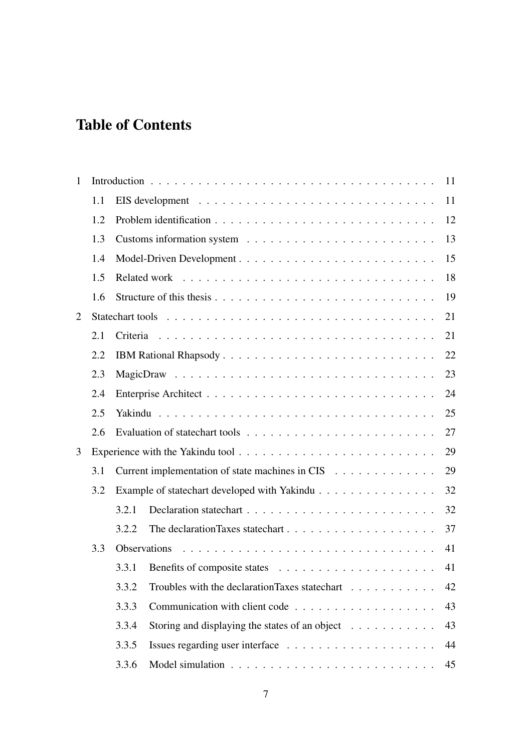## Table of Contents

| 1                                                   |     |                                                       |                                                | 11 |  |  |
|-----------------------------------------------------|-----|-------------------------------------------------------|------------------------------------------------|----|--|--|
|                                                     | 1.1 |                                                       |                                                | 11 |  |  |
|                                                     | 1.2 |                                                       |                                                | 12 |  |  |
|                                                     | 1.3 |                                                       |                                                | 13 |  |  |
|                                                     | 1.4 |                                                       |                                                | 15 |  |  |
|                                                     | 1.5 |                                                       |                                                | 18 |  |  |
|                                                     | 1.6 |                                                       |                                                | 19 |  |  |
| 2                                                   |     |                                                       |                                                | 21 |  |  |
|                                                     | 2.1 | Criteria                                              |                                                | 21 |  |  |
|                                                     | 2.2 |                                                       | IBM Rational Rhapsody                          | 22 |  |  |
|                                                     | 2.3 |                                                       |                                                | 23 |  |  |
|                                                     | 2.4 |                                                       |                                                | 24 |  |  |
|                                                     | 2.5 |                                                       |                                                | 25 |  |  |
|                                                     | 2.6 |                                                       |                                                | 27 |  |  |
| 3                                                   |     |                                                       |                                                | 29 |  |  |
|                                                     | 3.1 | Current implementation of state machines in CIS<br>29 |                                                |    |  |  |
| Example of statechart developed with Yakindu<br>3.2 |     |                                                       |                                                |    |  |  |
|                                                     |     | 3.2.1                                                 |                                                | 32 |  |  |
|                                                     |     | 3.2.2                                                 |                                                | 37 |  |  |
|                                                     | 3.3 |                                                       |                                                | 41 |  |  |
|                                                     |     | 3.3.1                                                 |                                                | 41 |  |  |
|                                                     |     | 3.3.2                                                 | Troubles with the declarationTaxes states hart | 42 |  |  |
|                                                     |     | 3.3.3                                                 |                                                | 43 |  |  |
|                                                     |     | 3.3.4                                                 | Storing and displaying the states of an object | 43 |  |  |
|                                                     |     | 3.3.5                                                 |                                                | 44 |  |  |
|                                                     |     | 3.3.6                                                 |                                                | 45 |  |  |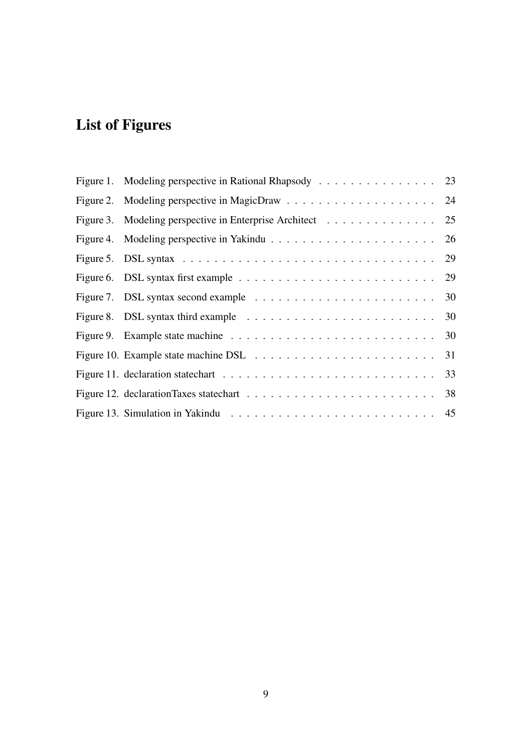## List of Figures

| Figure 1. Modeling perspective in Rational Rhapsody 23                                                        |  |
|---------------------------------------------------------------------------------------------------------------|--|
|                                                                                                               |  |
| Figure 3. Modeling perspective in Enterprise Architect $\ldots \ldots \ldots \ldots \ldots$ 25                |  |
| Figure 4. Modeling perspective in Yakindu $\ldots \ldots \ldots \ldots \ldots \ldots \ldots \ldots$ 26        |  |
|                                                                                                               |  |
| Figure 6. DSL syntax first example $\ldots \ldots \ldots \ldots \ldots \ldots \ldots \ldots \ldots 29$        |  |
| Figure 7. DSL syntax second example $\ldots \ldots \ldots \ldots \ldots \ldots \ldots \ldots \ldots$ 30       |  |
| Figure 8. DSL syntax third example $\ldots \ldots \ldots \ldots \ldots \ldots \ldots \ldots \ldots \ldots$ 30 |  |
| Figure 9. Example state machine $\ldots \ldots \ldots \ldots \ldots \ldots \ldots \ldots \ldots \ldots$ 30    |  |
| Figure 10. Example state machine DSL $\ldots \ldots \ldots \ldots \ldots \ldots \ldots \ldots \ldots$ 31      |  |
|                                                                                                               |  |
| Figure 12. declaration Taxes statechart $\ldots \ldots \ldots \ldots \ldots \ldots \ldots \ldots \ldots 38$   |  |
| Figure 13. Simulation in Yakindu $\ldots \ldots \ldots \ldots \ldots \ldots \ldots \ldots \ldots \ldots$ 45   |  |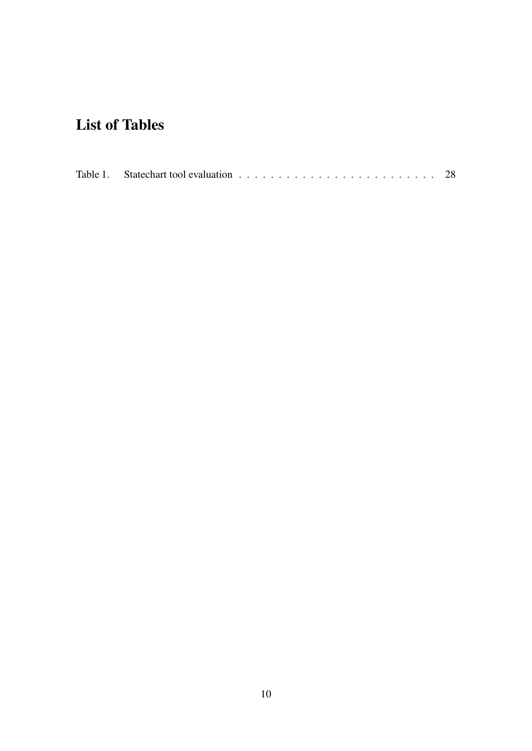## List of Tables

|--|--|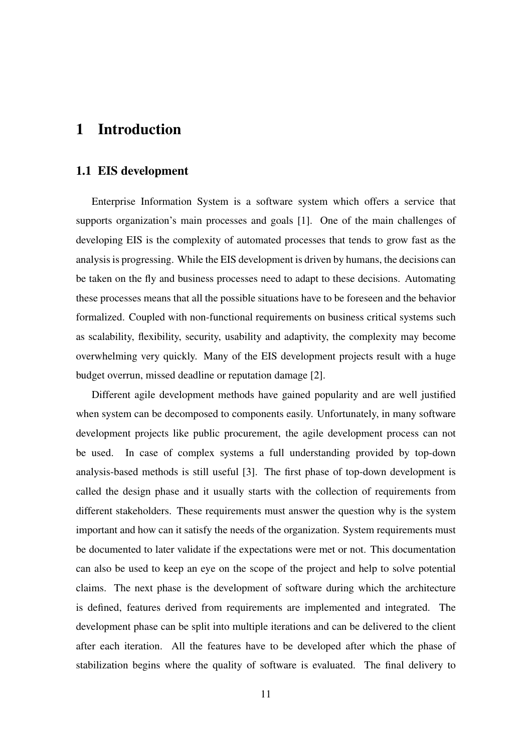### <span id="page-10-0"></span>1 Introduction

#### <span id="page-10-1"></span>1.1 EIS development

Enterprise Information System is a software system which offers a service that supports organization's main processes and goals [\[1\]](#page-50-1). One of the main challenges of developing EIS is the complexity of automated processes that tends to grow fast as the analysis is progressing. While the EIS development is driven by humans, the decisions can be taken on the fly and business processes need to adapt to these decisions. Automating these processes means that all the possible situations have to be foreseen and the behavior formalized. Coupled with non-functional requirements on business critical systems such as scalability, flexibility, security, usability and adaptivity, the complexity may become overwhelming very quickly. Many of the EIS development projects result with a huge budget overrun, missed deadline or reputation damage [\[2\]](#page-50-2).

Different agile development methods have gained popularity and are well justified when system can be decomposed to components easily. Unfortunately, in many software development projects like public procurement, the agile development process can not be used. In case of complex systems a full understanding provided by top-down analysis-based methods is still useful [\[3\]](#page-50-3). The first phase of top-down development is called the design phase and it usually starts with the collection of requirements from different stakeholders. These requirements must answer the question why is the system important and how can it satisfy the needs of the organization. System requirements must be documented to later validate if the expectations were met or not. This documentation can also be used to keep an eye on the scope of the project and help to solve potential claims. The next phase is the development of software during which the architecture is defined, features derived from requirements are implemented and integrated. The development phase can be split into multiple iterations and can be delivered to the client after each iteration. All the features have to be developed after which the phase of stabilization begins where the quality of software is evaluated. The final delivery to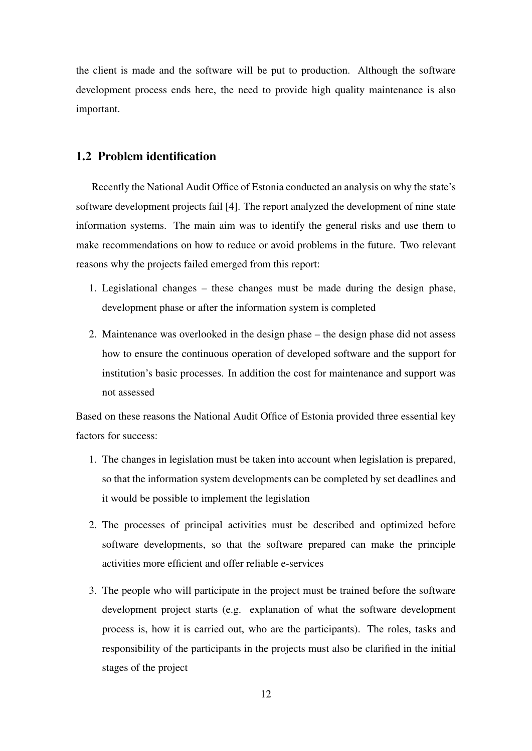the client is made and the software will be put to production. Although the software development process ends here, the need to provide high quality maintenance is also important.

#### <span id="page-11-0"></span>1.2 Problem identification

Recently the National Audit Office of Estonia conducted an analysis on why the state's software development projects fail [\[4\]](#page-50-4). The report analyzed the development of nine state information systems. The main aim was to identify the general risks and use them to make recommendations on how to reduce or avoid problems in the future. Two relevant reasons why the projects failed emerged from this report:

- 1. Legislational changes these changes must be made during the design phase, development phase or after the information system is completed
- 2. Maintenance was overlooked in the design phase the design phase did not assess how to ensure the continuous operation of developed software and the support for institution's basic processes. In addition the cost for maintenance and support was not assessed

Based on these reasons the National Audit Office of Estonia provided three essential key factors for success:

- 1. The changes in legislation must be taken into account when legislation is prepared, so that the information system developments can be completed by set deadlines and it would be possible to implement the legislation
- 2. The processes of principal activities must be described and optimized before software developments, so that the software prepared can make the principle activities more efficient and offer reliable e-services
- 3. The people who will participate in the project must be trained before the software development project starts (e.g. explanation of what the software development process is, how it is carried out, who are the participants). The roles, tasks and responsibility of the participants in the projects must also be clarified in the initial stages of the project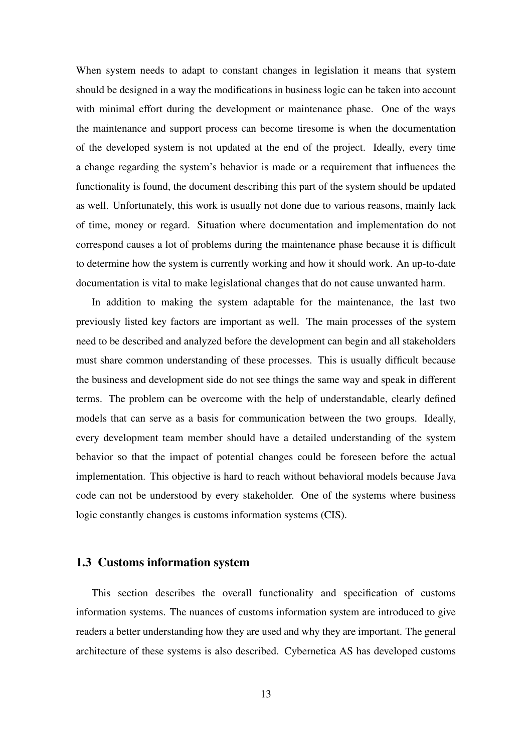When system needs to adapt to constant changes in legislation it means that system should be designed in a way the modifications in business logic can be taken into account with minimal effort during the development or maintenance phase. One of the ways the maintenance and support process can become tiresome is when the documentation of the developed system is not updated at the end of the project. Ideally, every time a change regarding the system's behavior is made or a requirement that influences the functionality is found, the document describing this part of the system should be updated as well. Unfortunately, this work is usually not done due to various reasons, mainly lack of time, money or regard. Situation where documentation and implementation do not correspond causes a lot of problems during the maintenance phase because it is difficult to determine how the system is currently working and how it should work. An up-to-date documentation is vital to make legislational changes that do not cause unwanted harm.

In addition to making the system adaptable for the maintenance, the last two previously listed key factors are important as well. The main processes of the system need to be described and analyzed before the development can begin and all stakeholders must share common understanding of these processes. This is usually difficult because the business and development side do not see things the same way and speak in different terms. The problem can be overcome with the help of understandable, clearly defined models that can serve as a basis for communication between the two groups. Ideally, every development team member should have a detailed understanding of the system behavior so that the impact of potential changes could be foreseen before the actual implementation. This objective is hard to reach without behavioral models because Java code can not be understood by every stakeholder. One of the systems where business logic constantly changes is customs information systems (CIS).

#### <span id="page-12-0"></span>1.3 Customs information system

This section describes the overall functionality and specification of customs information systems. The nuances of customs information system are introduced to give readers a better understanding how they are used and why they are important. The general architecture of these systems is also described. Cybernetica AS has developed customs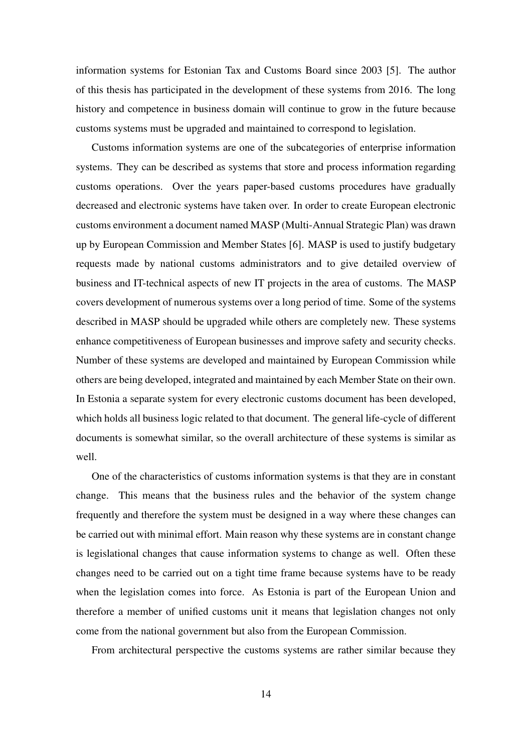information systems for Estonian Tax and Customs Board since 2003 [\[5\]](#page-50-5). The author of this thesis has participated in the development of these systems from 2016. The long history and competence in business domain will continue to grow in the future because customs systems must be upgraded and maintained to correspond to legislation.

Customs information systems are one of the subcategories of enterprise information systems. They can be described as systems that store and process information regarding customs operations. Over the years paper-based customs procedures have gradually decreased and electronic systems have taken over. In order to create European electronic customs environment a document named MASP (Multi-Annual Strategic Plan) was drawn up by European Commission and Member States [\[6\]](#page-50-6). MASP is used to justify budgetary requests made by national customs administrators and to give detailed overview of business and IT-technical aspects of new IT projects in the area of customs. The MASP covers development of numerous systems over a long period of time. Some of the systems described in MASP should be upgraded while others are completely new. These systems enhance competitiveness of European businesses and improve safety and security checks. Number of these systems are developed and maintained by European Commission while others are being developed, integrated and maintained by each Member State on their own. In Estonia a separate system for every electronic customs document has been developed, which holds all business logic related to that document. The general life-cycle of different documents is somewhat similar, so the overall architecture of these systems is similar as well.

One of the characteristics of customs information systems is that they are in constant change. This means that the business rules and the behavior of the system change frequently and therefore the system must be designed in a way where these changes can be carried out with minimal effort. Main reason why these systems are in constant change is legislational changes that cause information systems to change as well. Often these changes need to be carried out on a tight time frame because systems have to be ready when the legislation comes into force. As Estonia is part of the European Union and therefore a member of unified customs unit it means that legislation changes not only come from the national government but also from the European Commission.

From architectural perspective the customs systems are rather similar because they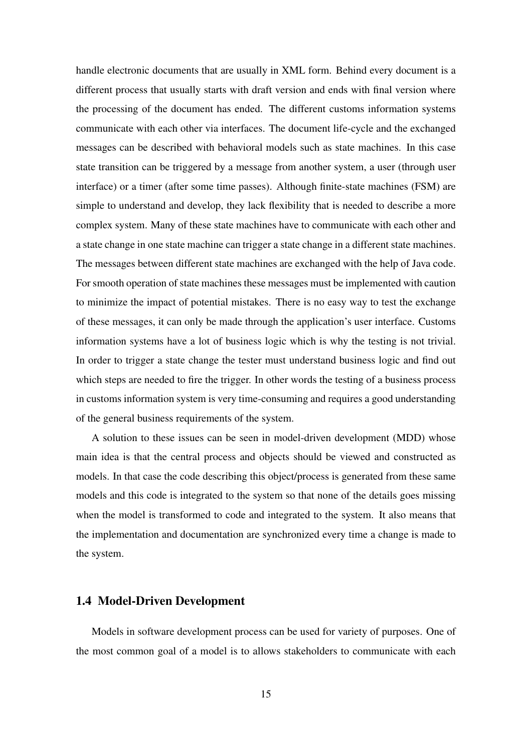handle electronic documents that are usually in XML form. Behind every document is a different process that usually starts with draft version and ends with final version where the processing of the document has ended. The different customs information systems communicate with each other via interfaces. The document life-cycle and the exchanged messages can be described with behavioral models such as state machines. In this case state transition can be triggered by a message from another system, a user (through user interface) or a timer (after some time passes). Although finite-state machines (FSM) are simple to understand and develop, they lack flexibility that is needed to describe a more complex system. Many of these state machines have to communicate with each other and a state change in one state machine can trigger a state change in a different state machines. The messages between different state machines are exchanged with the help of Java code. For smooth operation of state machines these messages must be implemented with caution to minimize the impact of potential mistakes. There is no easy way to test the exchange of these messages, it can only be made through the application's user interface. Customs information systems have a lot of business logic which is why the testing is not trivial. In order to trigger a state change the tester must understand business logic and find out which steps are needed to fire the trigger. In other words the testing of a business process in customs information system is very time-consuming and requires a good understanding of the general business requirements of the system.

A solution to these issues can be seen in model-driven development (MDD) whose main idea is that the central process and objects should be viewed and constructed as models. In that case the code describing this object/process is generated from these same models and this code is integrated to the system so that none of the details goes missing when the model is transformed to code and integrated to the system. It also means that the implementation and documentation are synchronized every time a change is made to the system.

#### <span id="page-14-0"></span>1.4 Model-Driven Development

Models in software development process can be used for variety of purposes. One of the most common goal of a model is to allows stakeholders to communicate with each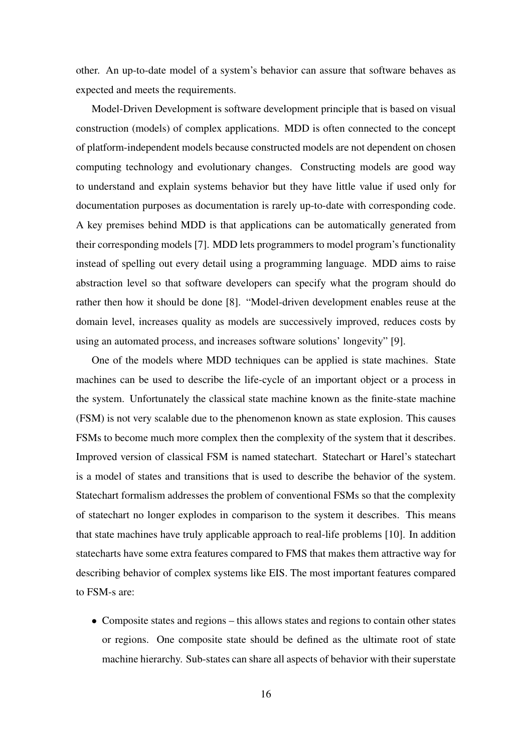other. An up-to-date model of a system's behavior can assure that software behaves as expected and meets the requirements.

Model-Driven Development is software development principle that is based on visual construction (models) of complex applications. MDD is often connected to the concept of platform-independent models because constructed models are not dependent on chosen computing technology and evolutionary changes. Constructing models are good way to understand and explain systems behavior but they have little value if used only for documentation purposes as documentation is rarely up-to-date with corresponding code. A key premises behind MDD is that applications can be automatically generated from their corresponding models [\[7\]](#page-50-7). MDD lets programmers to model program's functionality instead of spelling out every detail using a programming language. MDD aims to raise abstraction level so that software developers can specify what the program should do rather then how it should be done [\[8\]](#page-50-8). "Model-driven development enables reuse at the domain level, increases quality as models are successively improved, reduces costs by using an automated process, and increases software solutions' longevity" [\[9\]](#page-50-9).

One of the models where MDD techniques can be applied is state machines. State machines can be used to describe the life-cycle of an important object or a process in the system. Unfortunately the classical state machine known as the finite-state machine (FSM) is not very scalable due to the phenomenon known as state explosion. This causes FSMs to become much more complex then the complexity of the system that it describes. Improved version of classical FSM is named statechart. Statechart or Harel's statechart is a model of states and transitions that is used to describe the behavior of the system. Statechart formalism addresses the problem of conventional FSMs so that the complexity of statechart no longer explodes in comparison to the system it describes. This means that state machines have truly applicable approach to real-life problems [\[10\]](#page-51-0). In addition statecharts have some extra features compared to FMS that makes them attractive way for describing behavior of complex systems like EIS. The most important features compared to FSM-s are:

• Composite states and regions – this allows states and regions to contain other states or regions. One composite state should be defined as the ultimate root of state machine hierarchy. Sub-states can share all aspects of behavior with their superstate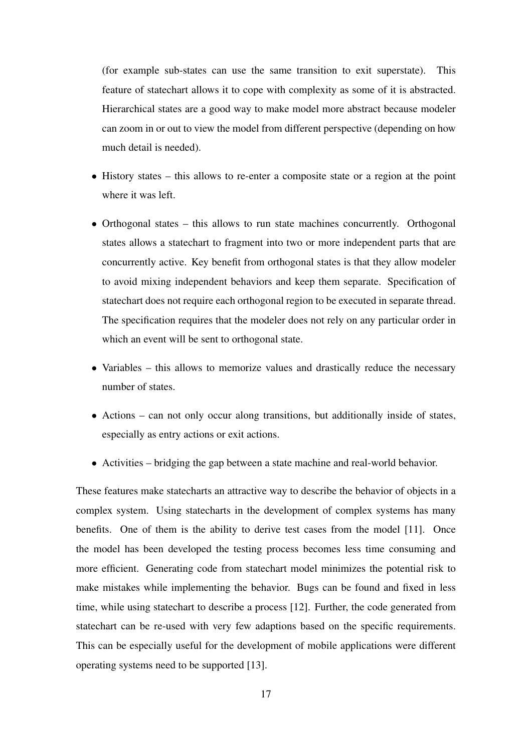(for example sub-states can use the same transition to exit superstate). This feature of statechart allows it to cope with complexity as some of it is abstracted. Hierarchical states are a good way to make model more abstract because modeler can zoom in or out to view the model from different perspective (depending on how much detail is needed).

- History states this allows to re-enter a composite state or a region at the point where it was left.
- Orthogonal states this allows to run state machines concurrently. Orthogonal states allows a statechart to fragment into two or more independent parts that are concurrently active. Key benefit from orthogonal states is that they allow modeler to avoid mixing independent behaviors and keep them separate. Specification of statechart does not require each orthogonal region to be executed in separate thread. The specification requires that the modeler does not rely on any particular order in which an event will be sent to orthogonal state.
- Variables this allows to memorize values and drastically reduce the necessary number of states.
- Actions can not only occur along transitions, but additionally inside of states, especially as entry actions or exit actions.
- Activities bridging the gap between a state machine and real-world behavior.

These features make statecharts an attractive way to describe the behavior of objects in a complex system. Using statecharts in the development of complex systems has many benefits. One of them is the ability to derive test cases from the model [\[11\]](#page-51-1). Once the model has been developed the testing process becomes less time consuming and more efficient. Generating code from statechart model minimizes the potential risk to make mistakes while implementing the behavior. Bugs can be found and fixed in less time, while using statechart to describe a process [\[12\]](#page-51-2). Further, the code generated from statechart can be re-used with very few adaptions based on the specific requirements. This can be especially useful for the development of mobile applications were different operating systems need to be supported [\[13\]](#page-51-3).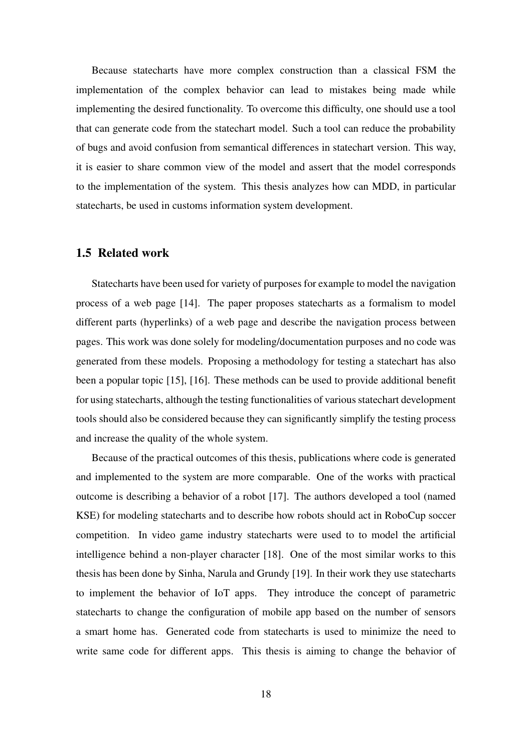Because statecharts have more complex construction than a classical FSM the implementation of the complex behavior can lead to mistakes being made while implementing the desired functionality. To overcome this difficulty, one should use a tool that can generate code from the statechart model. Such a tool can reduce the probability of bugs and avoid confusion from semantical differences in statechart version. This way, it is easier to share common view of the model and assert that the model corresponds to the implementation of the system. This thesis analyzes how can MDD, in particular statecharts, be used in customs information system development.

#### <span id="page-17-0"></span>1.5 Related work

Statecharts have been used for variety of purposes for example to model the navigation process of a web page [\[14\]](#page-51-4). The paper proposes statecharts as a formalism to model different parts (hyperlinks) of a web page and describe the navigation process between pages. This work was done solely for modeling/documentation purposes and no code was generated from these models. Proposing a methodology for testing a statechart has also been a popular topic [\[15\]](#page-51-5), [\[16\]](#page-51-6). These methods can be used to provide additional benefit for using statecharts, although the testing functionalities of various statechart development tools should also be considered because they can significantly simplify the testing process and increase the quality of the whole system.

Because of the practical outcomes of this thesis, publications where code is generated and implemented to the system are more comparable. One of the works with practical outcome is describing a behavior of a robot [\[17\]](#page-51-7). The authors developed a tool (named KSE) for modeling statecharts and to describe how robots should act in RoboCup soccer competition. In video game industry statecharts were used to to model the artificial intelligence behind a non-player character [\[18\]](#page-51-8). One of the most similar works to this thesis has been done by Sinha, Narula and Grundy [\[19\]](#page-51-9). In their work they use statecharts to implement the behavior of IoT apps. They introduce the concept of parametric statecharts to change the configuration of mobile app based on the number of sensors a smart home has. Generated code from statecharts is used to minimize the need to write same code for different apps. This thesis is aiming to change the behavior of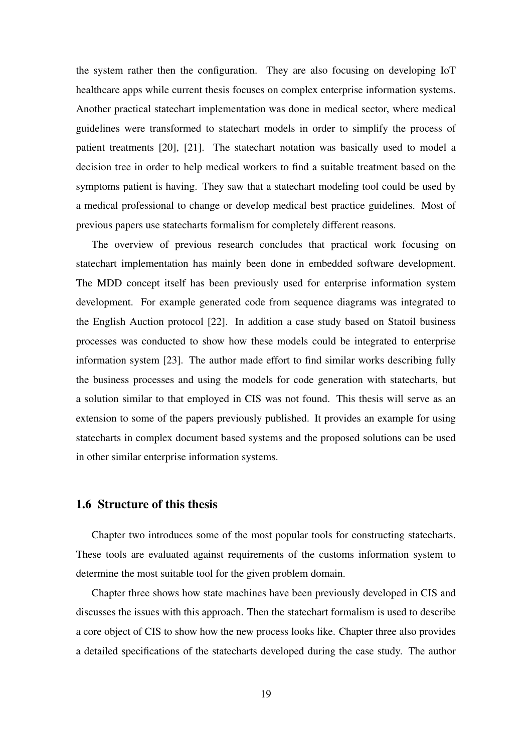the system rather then the configuration. They are also focusing on developing IoT healthcare apps while current thesis focuses on complex enterprise information systems. Another practical statechart implementation was done in medical sector, where medical guidelines were transformed to statechart models in order to simplify the process of patient treatments [\[20\]](#page-51-10), [\[21\]](#page-52-0). The statechart notation was basically used to model a decision tree in order to help medical workers to find a suitable treatment based on the symptoms patient is having. They saw that a statechart modeling tool could be used by a medical professional to change or develop medical best practice guidelines. Most of previous papers use statecharts formalism for completely different reasons.

The overview of previous research concludes that practical work focusing on statechart implementation has mainly been done in embedded software development. The MDD concept itself has been previously used for enterprise information system development. For example generated code from sequence diagrams was integrated to the English Auction protocol [\[22\]](#page-52-1). In addition a case study based on Statoil business processes was conducted to show how these models could be integrated to enterprise information system [\[23\]](#page-52-2). The author made effort to find similar works describing fully the business processes and using the models for code generation with statecharts, but a solution similar to that employed in CIS was not found. This thesis will serve as an extension to some of the papers previously published. It provides an example for using statecharts in complex document based systems and the proposed solutions can be used in other similar enterprise information systems.

#### <span id="page-18-0"></span>1.6 Structure of this thesis

Chapter two introduces some of the most popular tools for constructing statecharts. These tools are evaluated against requirements of the customs information system to determine the most suitable tool for the given problem domain.

Chapter three shows how state machines have been previously developed in CIS and discusses the issues with this approach. Then the statechart formalism is used to describe a core object of CIS to show how the new process looks like. Chapter three also provides a detailed specifications of the statecharts developed during the case study. The author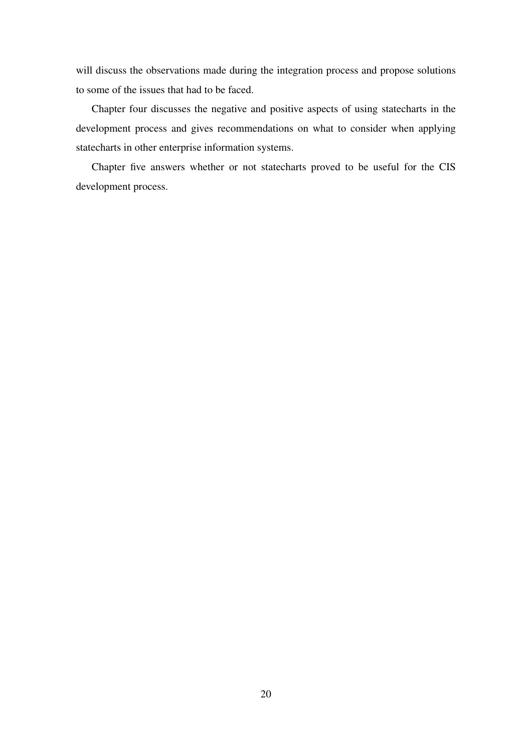will discuss the observations made during the integration process and propose solutions to some of the issues that had to be faced.

Chapter four discusses the negative and positive aspects of using statecharts in the development process and gives recommendations on what to consider when applying statecharts in other enterprise information systems.

Chapter five answers whether or not statecharts proved to be useful for the CIS development process.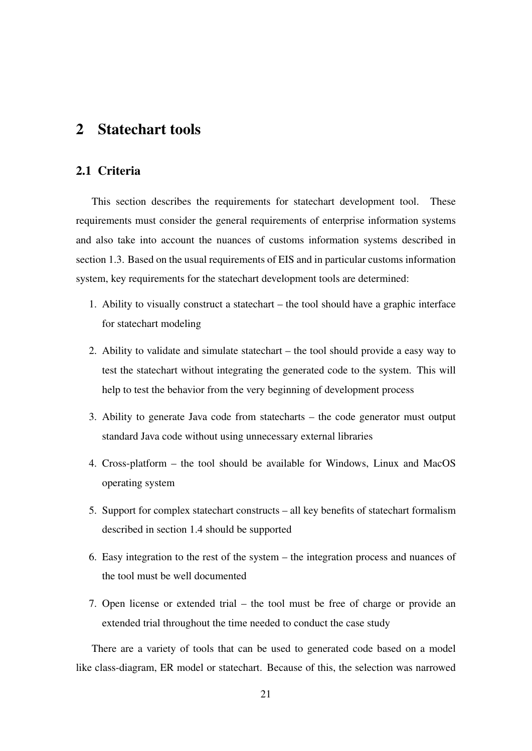### <span id="page-20-0"></span>2 Statechart tools

#### <span id="page-20-1"></span>2.1 Criteria

This section describes the requirements for statechart development tool. These requirements must consider the general requirements of enterprise information systems and also take into account the nuances of customs information systems described in section [1.3.](#page-12-0) Based on the usual requirements of EIS and in particular customs information system, key requirements for the statechart development tools are determined:

- 1. Ability to visually construct a statechart the tool should have a graphic interface for statechart modeling
- 2. Ability to validate and simulate statechart the tool should provide a easy way to test the statechart without integrating the generated code to the system. This will help to test the behavior from the very beginning of development process
- 3. Ability to generate Java code from statecharts the code generator must output standard Java code without using unnecessary external libraries
- 4. Cross-platform the tool should be available for Windows, Linux and MacOS operating system
- 5. Support for complex statechart constructs all key benefits of statechart formalism described in section [1.4](#page-14-0) should be supported
- 6. Easy integration to the rest of the system the integration process and nuances of the tool must be well documented
- 7. Open license or extended trial the tool must be free of charge or provide an extended trial throughout the time needed to conduct the case study

There are a variety of tools that can be used to generated code based on a model like class-diagram, ER model or statechart. Because of this, the selection was narrowed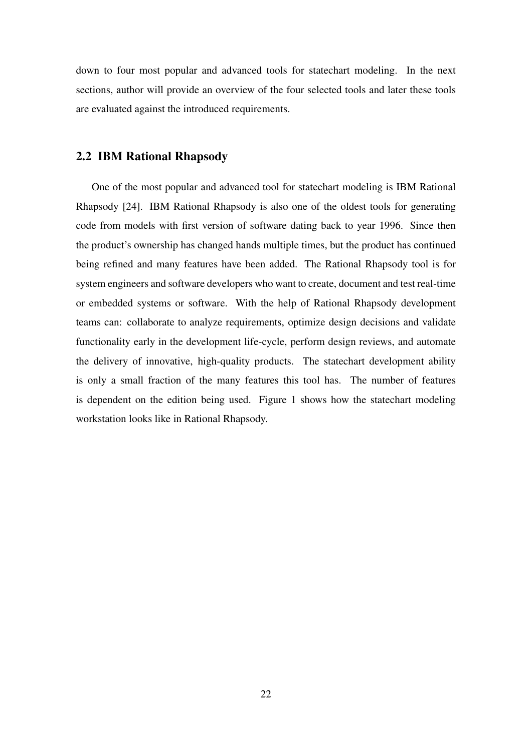down to four most popular and advanced tools for statechart modeling. In the next sections, author will provide an overview of the four selected tools and later these tools are evaluated against the introduced requirements.

#### <span id="page-21-0"></span>2.2 IBM Rational Rhapsody

One of the most popular and advanced tool for statechart modeling is IBM Rational Rhapsody [\[24\]](#page-52-3). IBM Rational Rhapsody is also one of the oldest tools for generating code from models with first version of software dating back to year 1996. Since then the product's ownership has changed hands multiple times, but the product has continued being refined and many features have been added. The Rational Rhapsody tool is for system engineers and software developers who want to create, document and test real-time or embedded systems or software. With the help of Rational Rhapsody development teams can: collaborate to analyze requirements, optimize design decisions and validate functionality early in the development life-cycle, perform design reviews, and automate the delivery of innovative, high-quality products. The statechart development ability is only a small fraction of the many features this tool has. The number of features is dependent on the edition being used. Figure [1](#page-22-1) shows how the statechart modeling workstation looks like in Rational Rhapsody.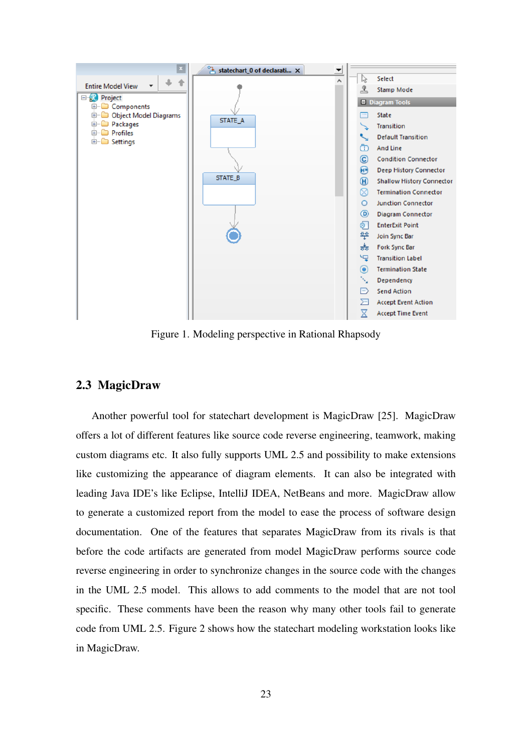<span id="page-22-1"></span>

Figure 1. Modeling perspective in Rational Rhapsody

#### <span id="page-22-0"></span>2.3 MagicDraw

Another powerful tool for statechart development is MagicDraw [\[25\]](#page-52-4). MagicDraw offers a lot of different features like source code reverse engineering, teamwork, making custom diagrams etc. It also fully supports UML 2.5 and possibility to make extensions like customizing the appearance of diagram elements. It can also be integrated with leading Java IDE's like Eclipse, IntelliJ IDEA, NetBeans and more. MagicDraw allow to generate a customized report from the model to ease the process of software design documentation. One of the features that separates MagicDraw from its rivals is that before the code artifacts are generated from model MagicDraw performs source code reverse engineering in order to synchronize changes in the source code with the changes in the UML 2.5 model. This allows to add comments to the model that are not tool specific. These comments have been the reason why many other tools fail to generate code from UML 2.5. Figure [2](#page-23-1) shows how the statechart modeling workstation looks like in MagicDraw.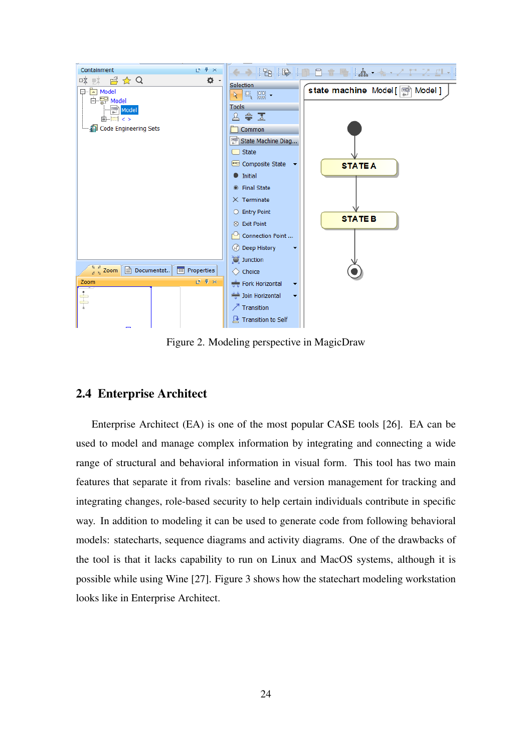<span id="page-23-1"></span>

Figure 2. Modeling perspective in MagicDraw

#### <span id="page-23-0"></span>2.4 Enterprise Architect

Enterprise Architect (EA) is one of the most popular CASE tools [\[26\]](#page-52-5). EA can be used to model and manage complex information by integrating and connecting a wide range of structural and behavioral information in visual form. This tool has two main features that separate it from rivals: baseline and version management for tracking and integrating changes, role-based security to help certain individuals contribute in specific way. In addition to modeling it can be used to generate code from following behavioral models: statecharts, sequence diagrams and activity diagrams. One of the drawbacks of the tool is that it lacks capability to run on Linux and MacOS systems, although it is possible while using Wine [\[27\]](#page-52-6). Figure [3](#page-24-1) shows how the statechart modeling workstation looks like in Enterprise Architect.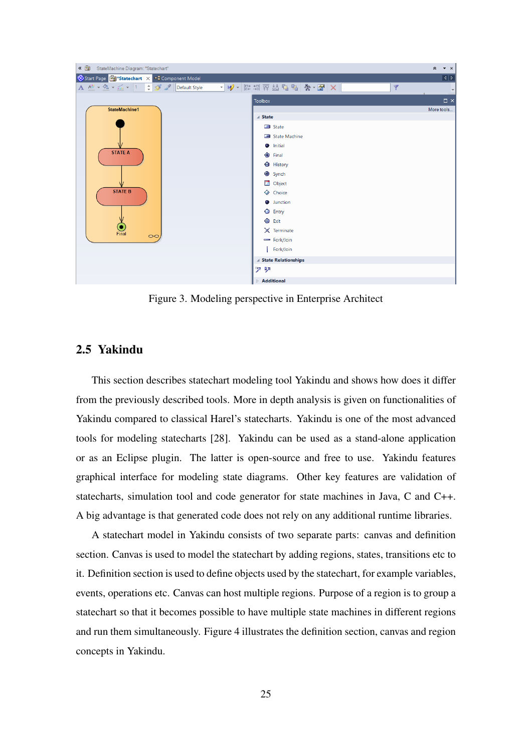<span id="page-24-1"></span>

Figure 3. Modeling perspective in Enterprise Architect

#### <span id="page-24-0"></span>2.5 Yakindu

This section describes statechart modeling tool Yakindu and shows how does it differ from the previously described tools. More in depth analysis is given on functionalities of Yakindu compared to classical Harel's statecharts. Yakindu is one of the most advanced tools for modeling statecharts [\[28\]](#page-52-7). Yakindu can be used as a stand-alone application or as an Eclipse plugin. The latter is open-source and free to use. Yakindu features graphical interface for modeling state diagrams. Other key features are validation of statecharts, simulation tool and code generator for state machines in Java, C and C++. A big advantage is that generated code does not rely on any additional runtime libraries.

A statechart model in Yakindu consists of two separate parts: canvas and definition section. Canvas is used to model the statechart by adding regions, states, transitions etc to it. Definition section is used to define objects used by the statechart, for example variables, events, operations etc. Canvas can host multiple regions. Purpose of a region is to group a statechart so that it becomes possible to have multiple state machines in different regions and run them simultaneously. Figure [4](#page-25-0) illustrates the definition section, canvas and region concepts in Yakindu.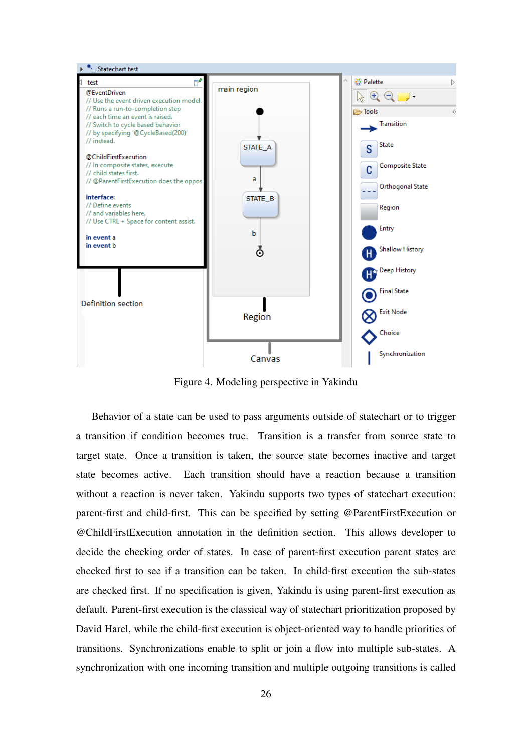<span id="page-25-0"></span>

Figure 4. Modeling perspective in Yakindu

Behavior of a state can be used to pass arguments outside of statechart or to trigger a transition if condition becomes true. Transition is a transfer from source state to target state. Once a transition is taken, the source state becomes inactive and target state becomes active. Each transition should have a reaction because a transition without a reaction is never taken. Yakindu supports two types of statechart execution: parent-first and child-first. This can be specified by setting @ParentFirstExecution or @ChildFirstExecution annotation in the definition section. This allows developer to decide the checking order of states. In case of parent-first execution parent states are checked first to see if a transition can be taken. In child-first execution the sub-states are checked first. If no specification is given, Yakindu is using parent-first execution as default. Parent-first execution is the classical way of statechart prioritization proposed by David Harel, while the child-first execution is object-oriented way to handle priorities of transitions. Synchronizations enable to split or join a flow into multiple sub-states. A synchronization with one incoming transition and multiple outgoing transitions is called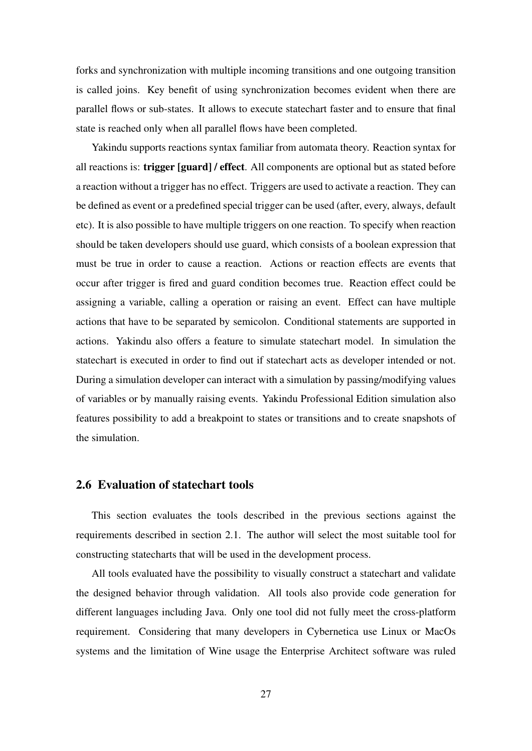forks and synchronization with multiple incoming transitions and one outgoing transition is called joins. Key benefit of using synchronization becomes evident when there are parallel flows or sub-states. It allows to execute statechart faster and to ensure that final state is reached only when all parallel flows have been completed.

Yakindu supports reactions syntax familiar from automata theory. Reaction syntax for all reactions is: trigger [guard] / effect. All components are optional but as stated before a reaction without a trigger has no effect. Triggers are used to activate a reaction. They can be defined as event or a predefined special trigger can be used (after, every, always, default etc). It is also possible to have multiple triggers on one reaction. To specify when reaction should be taken developers should use guard, which consists of a boolean expression that must be true in order to cause a reaction. Actions or reaction effects are events that occur after trigger is fired and guard condition becomes true. Reaction effect could be assigning a variable, calling a operation or raising an event. Effect can have multiple actions that have to be separated by semicolon. Conditional statements are supported in actions. Yakindu also offers a feature to simulate statechart model. In simulation the statechart is executed in order to find out if statechart acts as developer intended or not. During a simulation developer can interact with a simulation by passing/modifying values of variables or by manually raising events. Yakindu Professional Edition simulation also features possibility to add a breakpoint to states or transitions and to create snapshots of the simulation.

#### <span id="page-26-0"></span>2.6 Evaluation of statechart tools

This section evaluates the tools described in the previous sections against the requirements described in section [2.1.](#page-20-1) The author will select the most suitable tool for constructing statecharts that will be used in the development process.

All tools evaluated have the possibility to visually construct a statechart and validate the designed behavior through validation. All tools also provide code generation for different languages including Java. Only one tool did not fully meet the cross-platform requirement. Considering that many developers in Cybernetica use Linux or MacOs systems and the limitation of Wine usage the Enterprise Architect software was ruled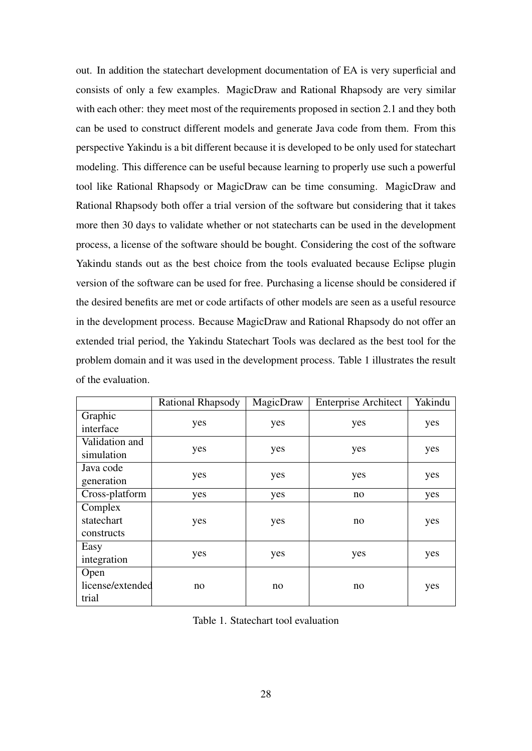out. In addition the statechart development documentation of EA is very superficial and consists of only a few examples. MagicDraw and Rational Rhapsody are very similar with each other: they meet most of the requirements proposed in section [2.1](#page-20-1) and they both can be used to construct different models and generate Java code from them. From this perspective Yakindu is a bit different because it is developed to be only used for statechart modeling. This difference can be useful because learning to properly use such a powerful tool like Rational Rhapsody or MagicDraw can be time consuming. MagicDraw and Rational Rhapsody both offer a trial version of the software but considering that it takes more then 30 days to validate whether or not statecharts can be used in the development process, a license of the software should be bought. Considering the cost of the software Yakindu stands out as the best choice from the tools evaluated because Eclipse plugin version of the software can be used for free. Purchasing a license should be considered if the desired benefits are met or code artifacts of other models are seen as a useful resource in the development process. Because MagicDraw and Rational Rhapsody do not offer an extended trial period, the Yakindu Statechart Tools was declared as the best tool for the problem domain and it was used in the development process. Table [1](#page-27-0) illustrates the result of the evaluation.

<span id="page-27-0"></span>

|                  | <b>Rational Rhapsody</b> | MagicDraw | <b>Enterprise Architect</b> | Yakindu |  |
|------------------|--------------------------|-----------|-----------------------------|---------|--|
| Graphic          |                          |           |                             |         |  |
| interface        | yes                      | yes       | yes                         | yes     |  |
| Validation and   | yes                      | yes       | yes                         | yes     |  |
| simulation       |                          |           |                             |         |  |
| Java code        |                          |           |                             |         |  |
| generation       | yes                      | yes       | yes                         | yes     |  |
| Cross-platform   | yes                      | yes       | no                          | yes     |  |
| Complex          |                          |           |                             |         |  |
| statechart       | yes                      | yes       | no                          | yes     |  |
| constructs       |                          |           |                             |         |  |
| Easy             |                          |           |                             |         |  |
| integration      | yes                      | yes       | yes                         | yes     |  |
| Open             |                          |           |                             |         |  |
| license/extended | no                       | no        | no                          | yes     |  |
| trial            |                          |           |                             |         |  |

Table 1. Statechart tool evaluation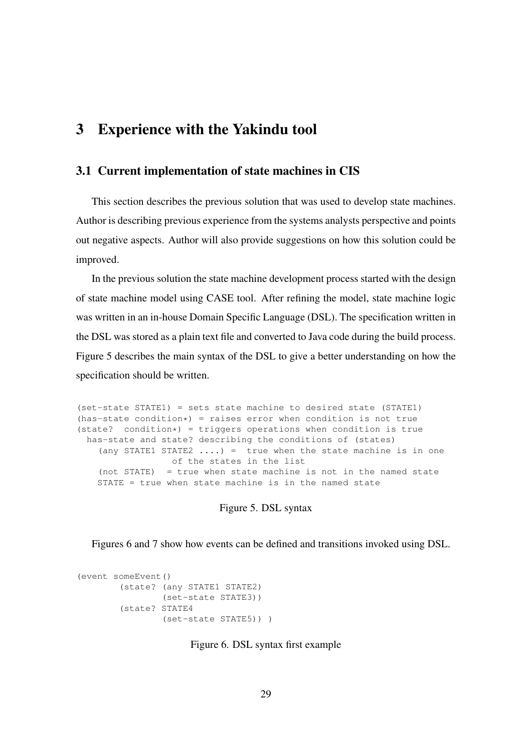### <span id="page-28-0"></span>3 Experience with the Yakindu tool

#### <span id="page-28-1"></span>3.1 Current implementation of state machines in CIS

This section describes the previous solution that was used to develop state machines. Author is describing previous experience from the systems analysts perspective and points out negative aspects. Author will also provide suggestions on how this solution could be improved.

In the previous solution the state machine development process started with the design of state machine model using CASE tool. After refining the model, state machine logic was written in an in-house Domain Specific Language (DSL). The specification written in the DSL was stored as a plain text file and converted to Java code during the build process. Figure [5](#page-28-2) describes the main syntax of the DSL to give a better understanding on how the specification should be written.

<span id="page-28-2"></span>(set-state STATE1) = sets state machine to desired state (STATE1)  $(has-state condition*)$  = raises error when condition is not true  $(state? condition*) = triggers operations when condition is true$ has-state and state? describing the conditions of (states) (any STATE1 STATE2 ....) = true when the state machine is in one of the states in the list (not STATE) = true when state machine is not in the named state STATE = true when state machine is in the named state

#### Figure 5. DSL syntax

Figures [6](#page-28-3) and [7](#page-29-0) show how events can be defined and transitions invoked using DSL.

```
(event someEvent()
       (state? (any STATE1 STATE2)
               (set-state STATE3))
        (state? STATE4
               (set-state STATE5)) )
```
Figure 6. DSL syntax first example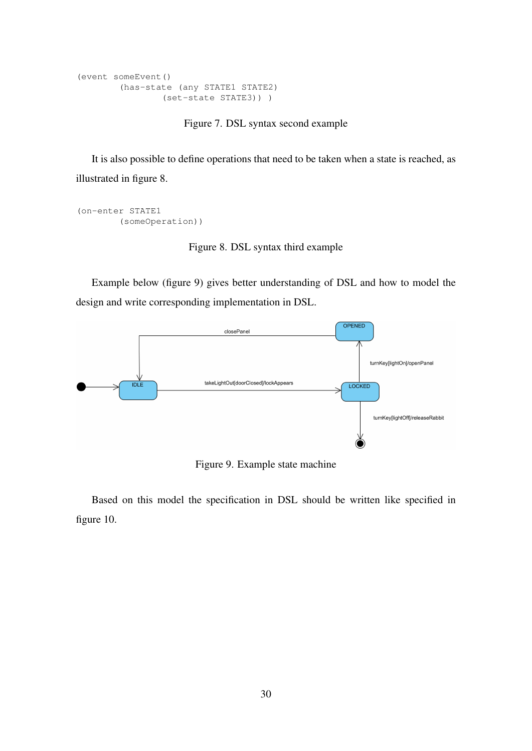```
(event someEvent()
       (has-state (any STATE1 STATE2)
                (set-state STATE3)) )
```
Figure 7. DSL syntax second example

It is also possible to define operations that need to be taken when a state is reached, as illustrated in figure [8.](#page-29-1)

```
(on-enter STATE1
        (someOperation))
```
Figure 8. DSL syntax third example

Example below (figure [9\)](#page-29-2) gives better understanding of DSL and how to model the design and write corresponding implementation in DSL.

<span id="page-29-2"></span>

Figure 9. Example state machine

Based on this model the specification in DSL should be written like specified in figure [10.](#page-30-0)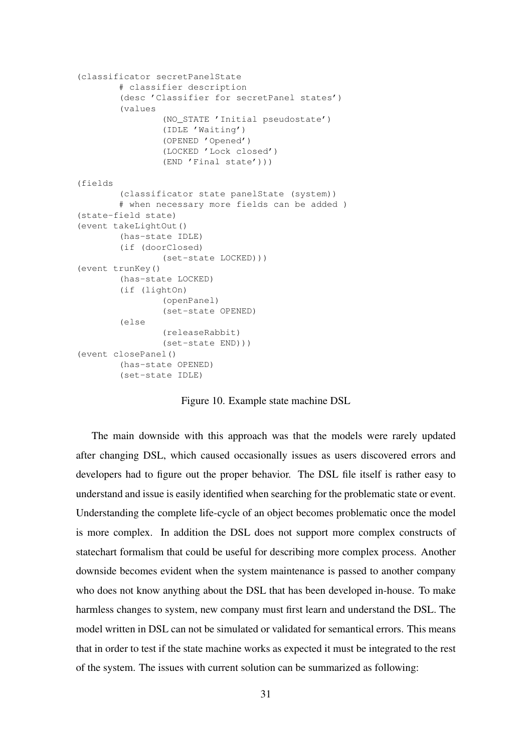```
(classificator secretPanelState
        # classifier description
        (desc 'Classifier for secretPanel states')
        (values
                 (NO_STATE 'Initial pseudostate')
                 (IDLE 'Waiting')
                 (OPENED 'Opened')
                 (LOCKED 'Lock closed')
                 (END 'Final state')))
(fields
        (classificator state panelState (system))
        # when necessary more fields can be added )
(state-field state)
(event takeLightOut()
        (has-state IDLE)
        (if (doorClosed)
                (set-state LOCKED)))
(event trunKey()
        (has-state LOCKED)
        (if (lightOn)
                (openPanel)
                 (set-state OPENED)
        (a \mid s \in \mathbb{R})(releaseRabbit)
                (set-state END)))
(event closePanel()
        (has-state OPENED)
        (set-state IDLE)
```
Figure 10. Example state machine DSL

The main downside with this approach was that the models were rarely updated after changing DSL, which caused occasionally issues as users discovered errors and developers had to figure out the proper behavior. The DSL file itself is rather easy to understand and issue is easily identified when searching for the problematic state or event. Understanding the complete life-cycle of an object becomes problematic once the model is more complex. In addition the DSL does not support more complex constructs of statechart formalism that could be useful for describing more complex process. Another downside becomes evident when the system maintenance is passed to another company who does not know anything about the DSL that has been developed in-house. To make harmless changes to system, new company must first learn and understand the DSL. The model written in DSL can not be simulated or validated for semantical errors. This means that in order to test if the state machine works as expected it must be integrated to the rest of the system. The issues with current solution can be summarized as following: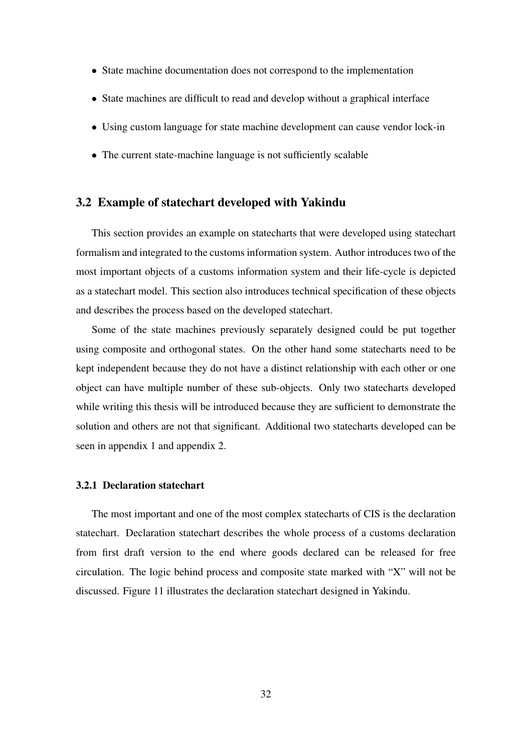- State machine documentation does not correspond to the implementation
- State machines are difficult to read and develop without a graphical interface
- Using custom language for state machine development can cause vendor lock-in
- <span id="page-31-0"></span>• The current state-machine language is not sufficiently scalable

#### 3.2 Example of statechart developed with Yakindu

This section provides an example on statecharts that were developed using statechart formalism and integrated to the customs information system. Author introduces two of the most important objects of a customs information system and their life-cycle is depicted as a statechart model. This section also introduces technical specification of these objects and describes the process based on the developed statechart.

Some of the state machines previously separately designed could be put together using composite and orthogonal states. On the other hand some statecharts need to be kept independent because they do not have a distinct relationship with each other or one object can have multiple number of these sub-objects. Only two statecharts developed while writing this thesis will be introduced because they are sufficient to demonstrate the solution and others are not that significant. Additional two statecharts developed can be seen in appendix [1](#page-53-0) and appendix [2.](#page-54-0)

#### <span id="page-31-1"></span>3.2.1 Declaration statechart

The most important and one of the most complex statecharts of CIS is the declaration statechart. Declaration statechart describes the whole process of a customs declaration from first draft version to the end where goods declared can be released for free circulation. The logic behind process and composite state marked with "X" will not be discussed. Figure [11](#page-32-0) illustrates the declaration statechart designed in Yakindu.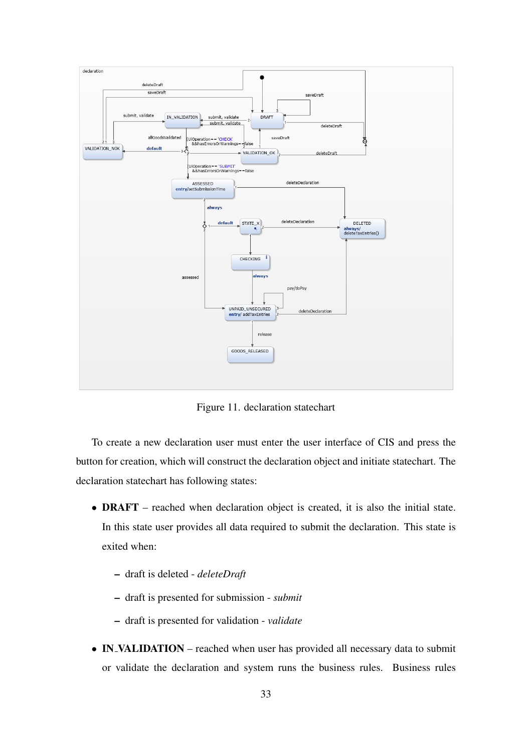<span id="page-32-0"></span>

Figure 11. declaration statechart

To create a new declaration user must enter the user interface of CIS and press the button for creation, which will construct the declaration object and initiate statechart. The declaration statechart has following states:

- **DRAFT** reached when declaration object is created, it is also the initial state. In this state user provides all data required to submit the declaration. This state is exited when:
	- draft is deleted *deleteDraft*
	- draft is presented for submission *submit*
	- draft is presented for validation *validate*
- IN\_VALIDATION reached when user has provided all necessary data to submit or validate the declaration and system runs the business rules. Business rules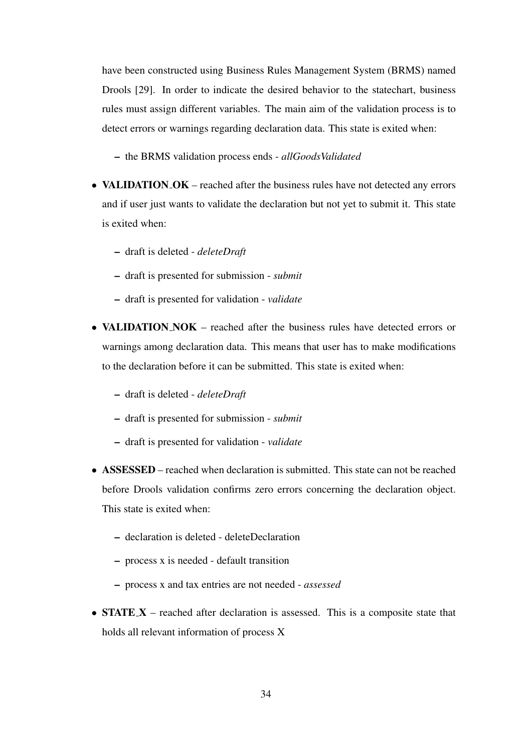have been constructed using Business Rules Management System (BRMS) named Drools [\[29\]](#page-52-8). In order to indicate the desired behavior to the statechart, business rules must assign different variables. The main aim of the validation process is to detect errors or warnings regarding declaration data. This state is exited when:

– the BRMS validation process ends - *allGoodsValidated*

- VALIDATION OK reached after the business rules have not detected any errors and if user just wants to validate the declaration but not yet to submit it. This state is exited when:
	- draft is deleted *deleteDraft*
	- draft is presented for submission *submit*
	- draft is presented for validation *validate*
- VALIDATION NOK reached after the business rules have detected errors or warnings among declaration data. This means that user has to make modifications to the declaration before it can be submitted. This state is exited when:
	- draft is deleted *deleteDraft*
	- draft is presented for submission *submit*
	- draft is presented for validation *validate*
- ASSESSED reached when declaration is submitted. This state can not be reached before Drools validation confirms zero errors concerning the declaration object. This state is exited when:
	- declaration is deleted deleteDeclaration
	- process x is needed default transition
	- process x and tax entries are not needed *assessed*
- **STATE X** reached after declaration is assessed. This is a composite state that holds all relevant information of process X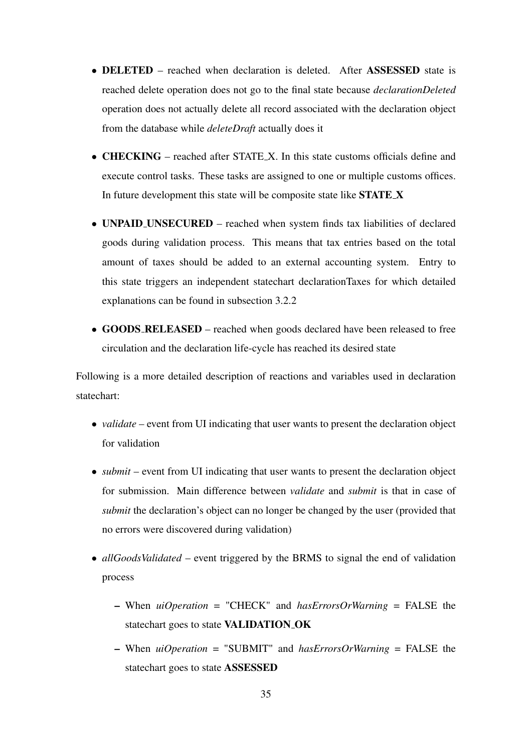- **DELETED** reached when declaration is deleted. After **ASSESSED** state is reached delete operation does not go to the final state because *declarationDeleted* operation does not actually delete all record associated with the declaration object from the database while *deleteDraft* actually does it
- CHECKING reached after STATE X. In this state customs officials define and execute control tasks. These tasks are assigned to one or multiple customs offices. In future development this state will be composite state like **STATE\_X**
- UNPAID\_UNSECURED reached when system finds tax liabilities of declared goods during validation process. This means that tax entries based on the total amount of taxes should be added to an external accounting system. Entry to this state triggers an independent statechart declarationTaxes for which detailed explanations can be found in subsection [3.2.2](#page-36-0)
- GOODS\_RELEASED reached when goods declared have been released to free circulation and the declaration life-cycle has reached its desired state

Following is a more detailed description of reactions and variables used in declaration statechart:

- *validate* event from UI indicating that user wants to present the declaration object for validation
- *submit* event from UI indicating that user wants to present the declaration object for submission. Main difference between *validate* and *submit* is that in case of *submit* the declaration's object can no longer be changed by the user (provided that no errors were discovered during validation)
- *allGoodsValidated* event triggered by the BRMS to signal the end of validation process
	- When *uiOperation* = "CHECK" and *hasErrorsOrWarning* = FALSE the statechart goes to state VALIDATION\_OK
	- When *uiOperation* = "SUBMIT" and *hasErrorsOrWarning* = FALSE the statechart goes to state ASSESSED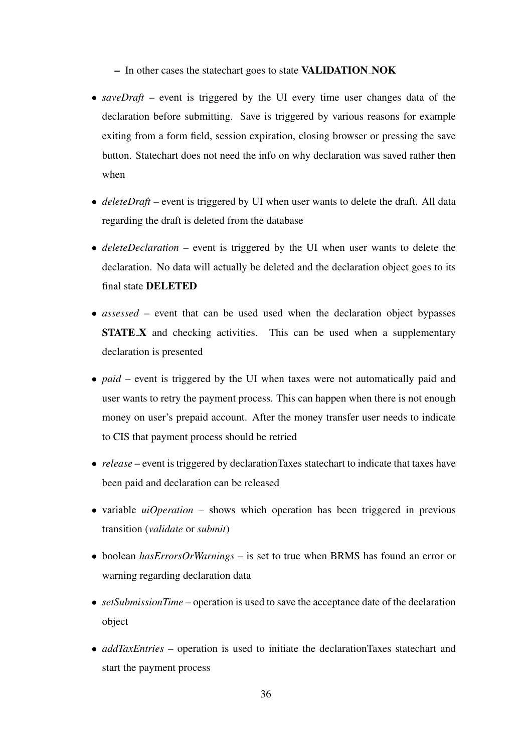– In other cases the state chart goes to state VALIDATION\_NOK

- *saveDraft* event is triggered by the UI every time user changes data of the declaration before submitting. Save is triggered by various reasons for example exiting from a form field, session expiration, closing browser or pressing the save button. Statechart does not need the info on why declaration was saved rather then when
- *deleteDraft* event is triggered by UI when user wants to delete the draft. All data regarding the draft is deleted from the database
- *deleteDeclaration* event is triggered by the UI when user wants to delete the declaration. No data will actually be deleted and the declaration object goes to its final state DELETED
- *assessed* event that can be used used when the declaration object bypasses **STATE X** and checking activities. This can be used when a supplementary declaration is presented
- *paid* event is triggered by the UI when taxes were not automatically paid and user wants to retry the payment process. This can happen when there is not enough money on user's prepaid account. After the money transfer user needs to indicate to CIS that payment process should be retried
- *release* event is triggered by declarationTaxes state chart to indicate that taxes have been paid and declaration can be released
- variable *uiOperation* shows which operation has been triggered in previous transition (*validate* or *submit*)
- boolean *hasErrorsOrWarnings* is set to true when BRMS has found an error or warning regarding declaration data
- *setSubmissionTime* operation is used to save the acceptance date of the declaration object
- *addTaxEntries* operation is used to initiate the declarationTaxes statechart and start the payment process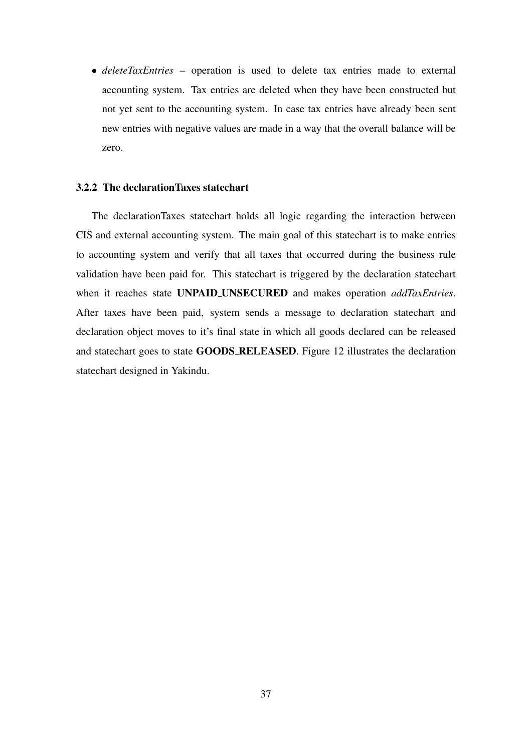• *deleteTaxEntries* – operation is used to delete tax entries made to external accounting system. Tax entries are deleted when they have been constructed but not yet sent to the accounting system. In case tax entries have already been sent new entries with negative values are made in a way that the overall balance will be zero.

#### 3.2.2 The declarationTaxes statechart

The declarationTaxes statechart holds all logic regarding the interaction between CIS and external accounting system. The main goal of this statechart is to make entries to accounting system and verify that all taxes that occurred during the business rule validation have been paid for. This statechart is triggered by the declaration statechart when it reaches state UNPAID UNSECURED and makes operation *addTaxEntries*. After taxes have been paid, system sends a message to declaration statechart and declaration object moves to it's final state in which all goods declared can be released and statechart goes to state GOODS RELEASED. Figure [12](#page-37-0) illustrates the declaration statechart designed in Yakindu.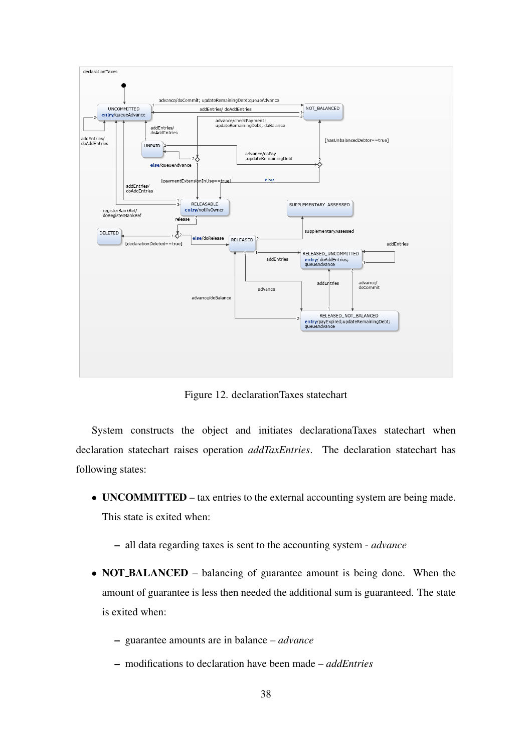<span id="page-37-0"></span>

Figure 12. declarationTaxes statechart

System constructs the object and initiates declarationaTaxes statechart when declaration statechart raises operation *addTaxEntries*. The declaration statechart has following states:

- **UNCOMMITTED** tax entries to the external accounting system are being made. This state is exited when:
	- all data regarding taxes is sent to the accounting system *advance*
- **NOT BALANCED** balancing of guarantee amount is being done. When the amount of guarantee is less then needed the additional sum is guaranteed. The state is exited when:
	- guarantee amounts are in balance *advance*
	- modifications to declaration have been made *addEntries*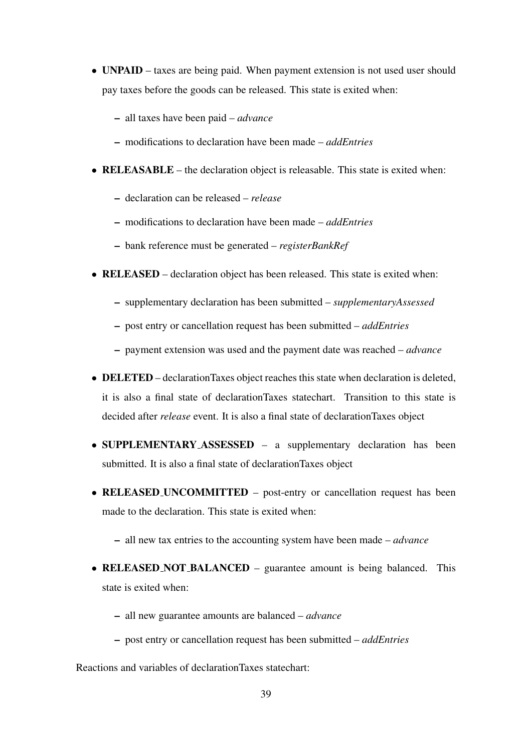- **UNPAID** taxes are being paid. When payment extension is not used user should pay taxes before the goods can be released. This state is exited when:
	- all taxes have been paid *advance*
	- modifications to declaration have been made *addEntries*
- RELEASABLE the declaration object is releasable. This state is exited when:
	- declaration can be released *release*
	- modifications to declaration have been made *addEntries*
	- bank reference must be generated *registerBankRef*
- RELEASED declaration object has been released. This state is exited when:
	- supplementary declaration has been submitted *supplementaryAssessed*
	- post entry or cancellation request has been submitted *addEntries*
	- payment extension was used and the payment date was reached *advance*
- **DELETED** declaration Taxes object reaches this state when declaration is deleted, it is also a final state of declarationTaxes statechart. Transition to this state is decided after *release* event. It is also a final state of declarationTaxes object
- SUPPLEMENTARY ASSESSED a supplementary declaration has been submitted. It is also a final state of declarationTaxes object
- RELEASED UNCOMMITTED post-entry or cancellation request has been made to the declaration. This state is exited when:
	- all new tax entries to the accounting system have been made *advance*
- RELEASED NOT BALANCED guarantee amount is being balanced. This state is exited when:
	- all new guarantee amounts are balanced *advance*
	- post entry or cancellation request has been submitted *addEntries*

Reactions and variables of declarationTaxes statechart: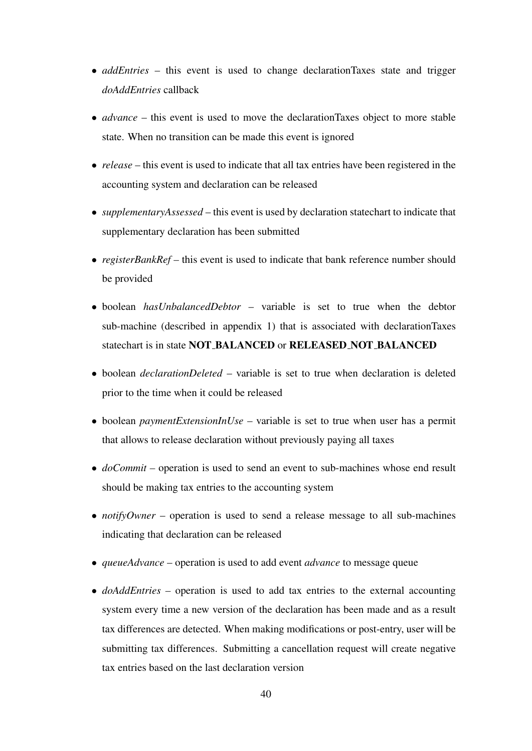- *addEntries* this event is used to change declarationTaxes state and trigger *doAddEntries* callback
- *advance* this event is used to move the declarationTaxes object to more stable state. When no transition can be made this event is ignored
- *release* this event is used to indicate that all tax entries have been registered in the accounting system and declaration can be released
- *supplementaryAssessed* this event is used by declaration statechart to indicate that supplementary declaration has been submitted
- *registerBankRef* this event is used to indicate that bank reference number should be provided
- boolean *hasUnbalancedDebtor* variable is set to true when the debtor sub-machine (described in appendix [1\)](#page-53-0) that is associated with declarationTaxes statechart is in state NOT BALANCED or RELEASED NOT BALANCED
- boolean *declarationDeleted* variable is set to true when declaration is deleted prior to the time when it could be released
- boolean *paymentExtensionInUse* variable is set to true when user has a permit that allows to release declaration without previously paying all taxes
- *doCommit* operation is used to send an event to sub-machines whose end result should be making tax entries to the accounting system
- *notifyOwner* operation is used to send a release message to all sub-machines indicating that declaration can be released
- *queueAdvance* operation is used to add event *advance* to message queue
- *doAddEntries* operation is used to add tax entries to the external accounting system every time a new version of the declaration has been made and as a result tax differences are detected. When making modifications or post-entry, user will be submitting tax differences. Submitting a cancellation request will create negative tax entries based on the last declaration version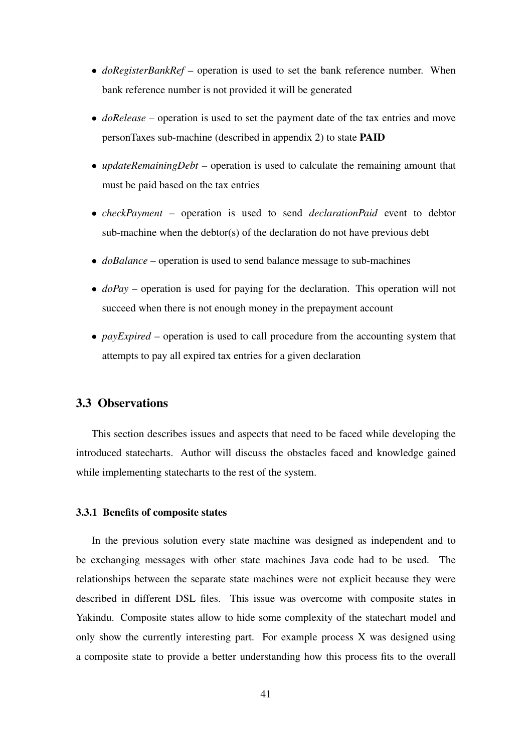- *doRegisterBankRef –* operation is used to set the bank reference number. When bank reference number is not provided it will be generated
- *doRelease* operation is used to set the payment date of the tax entries and move personTaxes sub-machine (described in appendix [2\)](#page-54-0) to state PAID
- *updateRemainingDebt* operation is used to calculate the remaining amount that must be paid based on the tax entries
- *checkPayment* operation is used to send *declarationPaid* event to debtor sub-machine when the debtor(s) of the declaration do not have previous debt
- *doBalance* operation is used to send balance message to sub-machines
- *doPay* operation is used for paying for the declaration. This operation will not succeed when there is not enough money in the prepayment account
- *payExpired* operation is used to call procedure from the accounting system that attempts to pay all expired tax entries for a given declaration

#### <span id="page-40-0"></span>3.3 Observations

This section describes issues and aspects that need to be faced while developing the introduced statecharts. Author will discuss the obstacles faced and knowledge gained while implementing statecharts to the rest of the system.

#### 3.3.1 Benefits of composite states

In the previous solution every state machine was designed as independent and to be exchanging messages with other state machines Java code had to be used. The relationships between the separate state machines were not explicit because they were described in different DSL files. This issue was overcome with composite states in Yakindu. Composite states allow to hide some complexity of the statechart model and only show the currently interesting part. For example process X was designed using a composite state to provide a better understanding how this process fits to the overall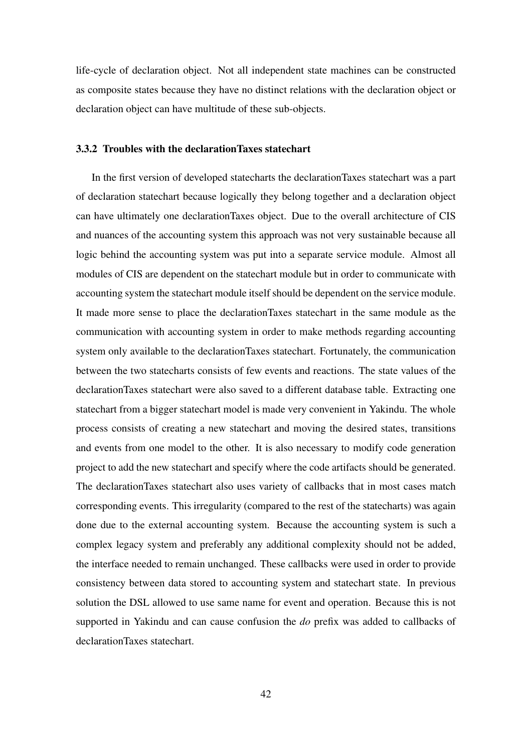life-cycle of declaration object. Not all independent state machines can be constructed as composite states because they have no distinct relations with the declaration object or declaration object can have multitude of these sub-objects.

#### 3.3.2 Troubles with the declarationTaxes statechart

In the first version of developed statecharts the declarationTaxes statechart was a part of declaration statechart because logically they belong together and a declaration object can have ultimately one declarationTaxes object. Due to the overall architecture of CIS and nuances of the accounting system this approach was not very sustainable because all logic behind the accounting system was put into a separate service module. Almost all modules of CIS are dependent on the statechart module but in order to communicate with accounting system the statechart module itself should be dependent on the service module. It made more sense to place the declarationTaxes statechart in the same module as the communication with accounting system in order to make methods regarding accounting system only available to the declarationTaxes statechart. Fortunately, the communication between the two statecharts consists of few events and reactions. The state values of the declarationTaxes statechart were also saved to a different database table. Extracting one statechart from a bigger statechart model is made very convenient in Yakindu. The whole process consists of creating a new statechart and moving the desired states, transitions and events from one model to the other. It is also necessary to modify code generation project to add the new statechart and specify where the code artifacts should be generated. The declarationTaxes statechart also uses variety of callbacks that in most cases match corresponding events. This irregularity (compared to the rest of the statecharts) was again done due to the external accounting system. Because the accounting system is such a complex legacy system and preferably any additional complexity should not be added, the interface needed to remain unchanged. These callbacks were used in order to provide consistency between data stored to accounting system and statechart state. In previous solution the DSL allowed to use same name for event and operation. Because this is not supported in Yakindu and can cause confusion the *do* prefix was added to callbacks of declarationTaxes statechart.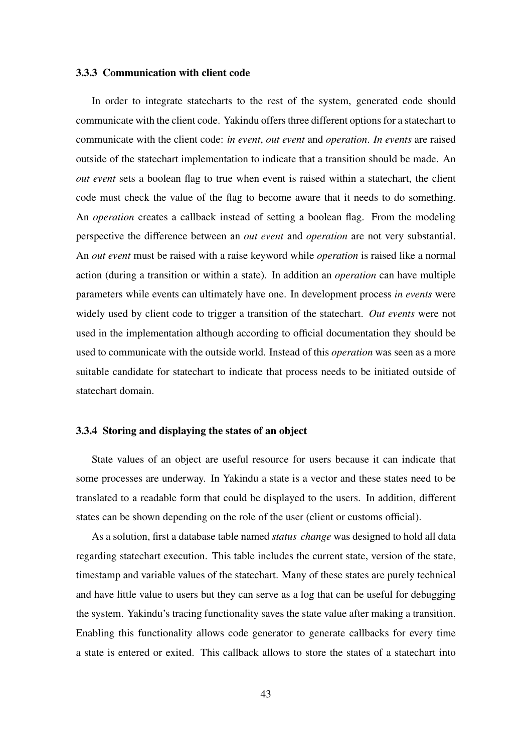#### 3.3.3 Communication with client code

In order to integrate statecharts to the rest of the system, generated code should communicate with the client code. Yakindu offers three different options for a statechart to communicate with the client code: *in event*, *out event* and *operation*. *In events* are raised outside of the statechart implementation to indicate that a transition should be made. An *out event* sets a boolean flag to true when event is raised within a statechart, the client code must check the value of the flag to become aware that it needs to do something. An *operation* creates a callback instead of setting a boolean flag. From the modeling perspective the difference between an *out event* and *operation* are not very substantial. An *out event* must be raised with a raise keyword while *operation* is raised like a normal action (during a transition or within a state). In addition an *operation* can have multiple parameters while events can ultimately have one. In development process *in events* were widely used by client code to trigger a transition of the statechart. *Out events* were not used in the implementation although according to official documentation they should be used to communicate with the outside world. Instead of this *operation* was seen as a more suitable candidate for statechart to indicate that process needs to be initiated outside of statechart domain.

#### 3.3.4 Storing and displaying the states of an object

State values of an object are useful resource for users because it can indicate that some processes are underway. In Yakindu a state is a vector and these states need to be translated to a readable form that could be displayed to the users. In addition, different states can be shown depending on the role of the user (client or customs official).

As a solution, first a database table named *status change* was designed to hold all data regarding statechart execution. This table includes the current state, version of the state, timestamp and variable values of the statechart. Many of these states are purely technical and have little value to users but they can serve as a log that can be useful for debugging the system. Yakindu's tracing functionality saves the state value after making a transition. Enabling this functionality allows code generator to generate callbacks for every time a state is entered or exited. This callback allows to store the states of a statechart into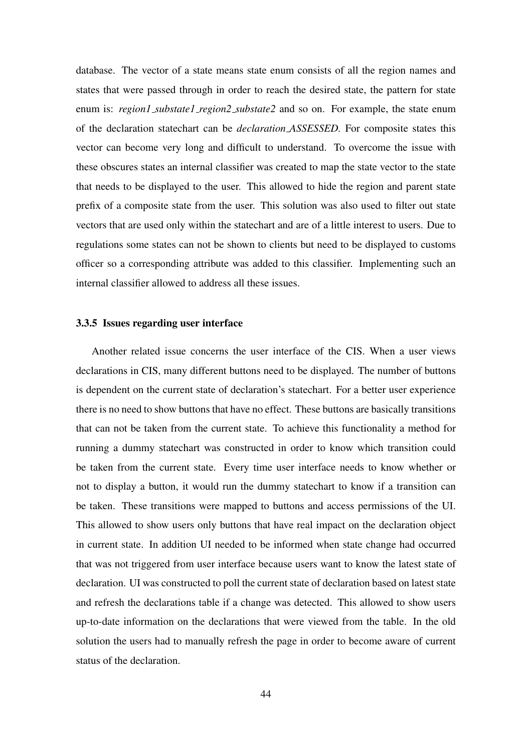database. The vector of a state means state enum consists of all the region names and states that were passed through in order to reach the desired state, the pattern for state enum is: *region1 substate1 region2 substate2* and so on. For example, the state enum of the declaration statechart can be *declaration ASSESSED.* For composite states this vector can become very long and difficult to understand. To overcome the issue with these obscures states an internal classifier was created to map the state vector to the state that needs to be displayed to the user. This allowed to hide the region and parent state prefix of a composite state from the user. This solution was also used to filter out state vectors that are used only within the statechart and are of a little interest to users. Due to regulations some states can not be shown to clients but need to be displayed to customs officer so a corresponding attribute was added to this classifier. Implementing such an internal classifier allowed to address all these issues.

#### 3.3.5 Issues regarding user interface

Another related issue concerns the user interface of the CIS. When a user views declarations in CIS, many different buttons need to be displayed. The number of buttons is dependent on the current state of declaration's statechart. For a better user experience there is no need to show buttons that have no effect. These buttons are basically transitions that can not be taken from the current state. To achieve this functionality a method for running a dummy statechart was constructed in order to know which transition could be taken from the current state. Every time user interface needs to know whether or not to display a button, it would run the dummy statechart to know if a transition can be taken. These transitions were mapped to buttons and access permissions of the UI. This allowed to show users only buttons that have real impact on the declaration object in current state. In addition UI needed to be informed when state change had occurred that was not triggered from user interface because users want to know the latest state of declaration. UI was constructed to poll the current state of declaration based on latest state and refresh the declarations table if a change was detected. This allowed to show users up-to-date information on the declarations that were viewed from the table. In the old solution the users had to manually refresh the page in order to become aware of current status of the declaration.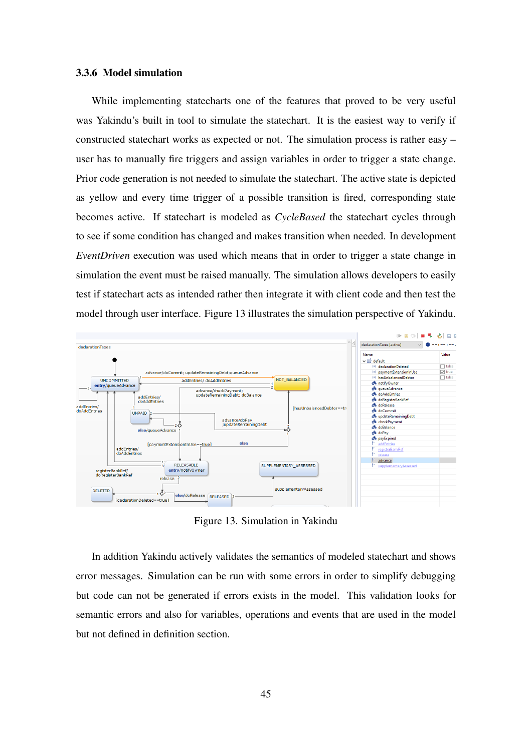#### 3.3.6 Model simulation

While implementing statecharts one of the features that proved to be very useful was Yakindu's built in tool to simulate the statechart. It is the easiest way to verify if constructed statechart works as expected or not. The simulation process is rather easy – user has to manually fire triggers and assign variables in order to trigger a state change. Prior code generation is not needed to simulate the statechart. The active state is depicted as yellow and every time trigger of a possible transition is fired, corresponding state becomes active. If statechart is modeled as *CycleBased* the statechart cycles through to see if some condition has changed and makes transition when needed. In development *EventDriven* execution was used which means that in order to trigger a state change in simulation the event must be raised manually. The simulation allows developers to easily test if statechart acts as intended rather then integrate it with client code and then test the model through user interface. Figure [13](#page-44-0) illustrates the simulation perspective of Yakindu.

<span id="page-44-0"></span>

Figure 13. Simulation in Yakindu

In addition Yakindu actively validates the semantics of modeled statechart and shows error messages. Simulation can be run with some errors in order to simplify debugging but code can not be generated if errors exists in the model. This validation looks for semantic errors and also for variables, operations and events that are used in the model but not defined in definition section.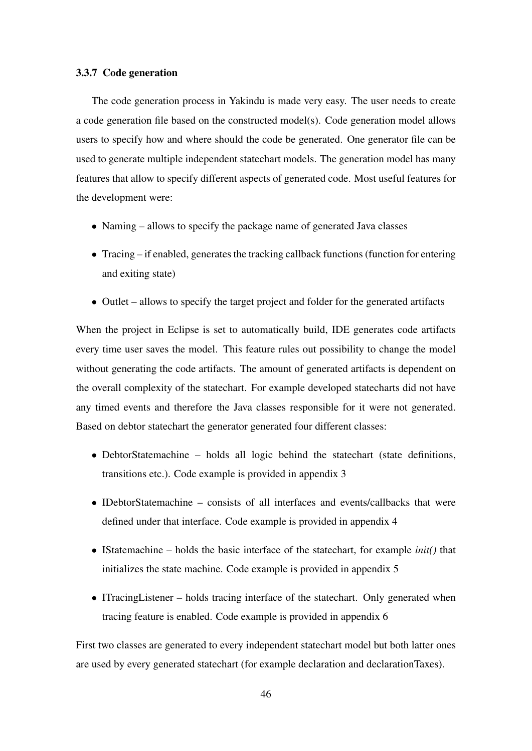#### 3.3.7 Code generation

The code generation process in Yakindu is made very easy. The user needs to create a code generation file based on the constructed model(s). Code generation model allows users to specify how and where should the code be generated. One generator file can be used to generate multiple independent statechart models. The generation model has many features that allow to specify different aspects of generated code. Most useful features for the development were:

- Naming allows to specify the package name of generated Java classes
- Tracing if enabled, generates the tracking callback functions (function for entering and exiting state)
- Outlet allows to specify the target project and folder for the generated artifacts

When the project in Eclipse is set to automatically build, IDE generates code artifacts every time user saves the model. This feature rules out possibility to change the model without generating the code artifacts. The amount of generated artifacts is dependent on the overall complexity of the statechart. For example developed statecharts did not have any timed events and therefore the Java classes responsible for it were not generated. Based on debtor statechart the generator generated four different classes:

- DebtorStatemachine holds all logic behind the statechart (state definitions, transitions etc.). Code example is provided in appendix [3](#page-55-0)
- IDebtorStatemachine consists of all interfaces and events/callbacks that were defined under that interface. Code example is provided in appendix [4](#page-73-0)
- IStatemachine holds the basic interface of the statechart, for example *init()* that initializes the state machine. Code example is provided in appendix [5](#page-75-0)
- ITracingListener holds tracing interface of the statechart. Only generated when tracing feature is enabled. Code example is provided in appendix [6](#page-77-0)

First two classes are generated to every independent statechart model but both latter ones are used by every generated statechart (for example declaration and declarationTaxes).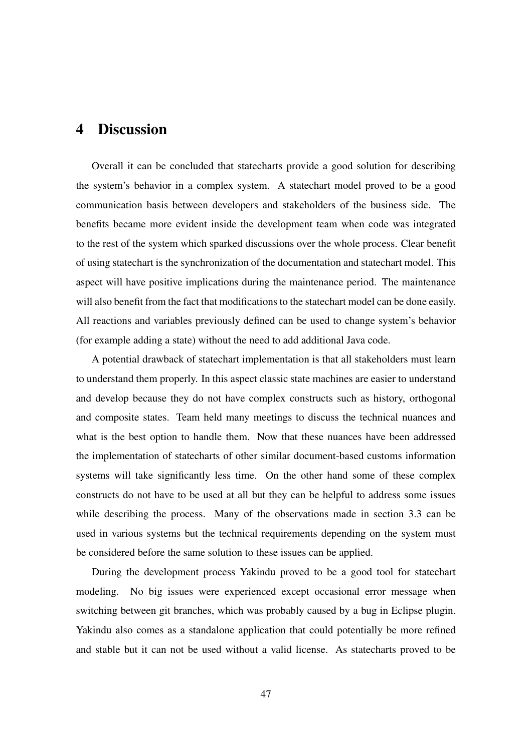### 4 Discussion

Overall it can be concluded that statecharts provide a good solution for describing the system's behavior in a complex system. A statechart model proved to be a good communication basis between developers and stakeholders of the business side. The benefits became more evident inside the development team when code was integrated to the rest of the system which sparked discussions over the whole process. Clear benefit of using statechart is the synchronization of the documentation and statechart model. This aspect will have positive implications during the maintenance period. The maintenance will also benefit from the fact that modifications to the statechart model can be done easily. All reactions and variables previously defined can be used to change system's behavior (for example adding a state) without the need to add additional Java code.

A potential drawback of statechart implementation is that all stakeholders must learn to understand them properly. In this aspect classic state machines are easier to understand and develop because they do not have complex constructs such as history, orthogonal and composite states. Team held many meetings to discuss the technical nuances and what is the best option to handle them. Now that these nuances have been addressed the implementation of statecharts of other similar document-based customs information systems will take significantly less time. On the other hand some of these complex constructs do not have to be used at all but they can be helpful to address some issues while describing the process. Many of the observations made in section [3.3](#page-40-0) can be used in various systems but the technical requirements depending on the system must be considered before the same solution to these issues can be applied.

During the development process Yakindu proved to be a good tool for statechart modeling. No big issues were experienced except occasional error message when switching between git branches, which was probably caused by a bug in Eclipse plugin. Yakindu also comes as a standalone application that could potentially be more refined and stable but it can not be used without a valid license. As statecharts proved to be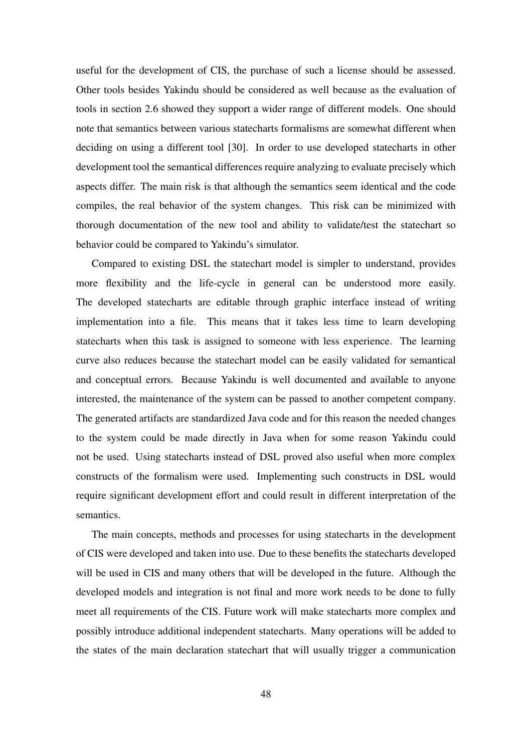useful for the development of CIS, the purchase of such a license should be assessed. Other tools besides Yakindu should be considered as well because as the evaluation of tools in section [2.6](#page-26-0) showed they support a wider range of different models. One should note that semantics between various statecharts formalisms are somewhat different when deciding on using a different tool [\[30\]](#page-52-0). In order to use developed statecharts in other development tool the semantical differences require analyzing to evaluate precisely which aspects differ. The main risk is that although the semantics seem identical and the code compiles, the real behavior of the system changes. This risk can be minimized with thorough documentation of the new tool and ability to validate/test the statechart so behavior could be compared to Yakindu's simulator.

Compared to existing DSL the statechart model is simpler to understand, provides more flexibility and the life-cycle in general can be understood more easily. The developed statecharts are editable through graphic interface instead of writing implementation into a file. This means that it takes less time to learn developing statecharts when this task is assigned to someone with less experience. The learning curve also reduces because the statechart model can be easily validated for semantical and conceptual errors. Because Yakindu is well documented and available to anyone interested, the maintenance of the system can be passed to another competent company. The generated artifacts are standardized Java code and for this reason the needed changes to the system could be made directly in Java when for some reason Yakindu could not be used. Using statecharts instead of DSL proved also useful when more complex constructs of the formalism were used. Implementing such constructs in DSL would require significant development effort and could result in different interpretation of the semantics.

The main concepts, methods and processes for using statecharts in the development of CIS were developed and taken into use. Due to these benefits the statecharts developed will be used in CIS and many others that will be developed in the future. Although the developed models and integration is not final and more work needs to be done to fully meet all requirements of the CIS. Future work will make statecharts more complex and possibly introduce additional independent statecharts. Many operations will be added to the states of the main declaration statechart that will usually trigger a communication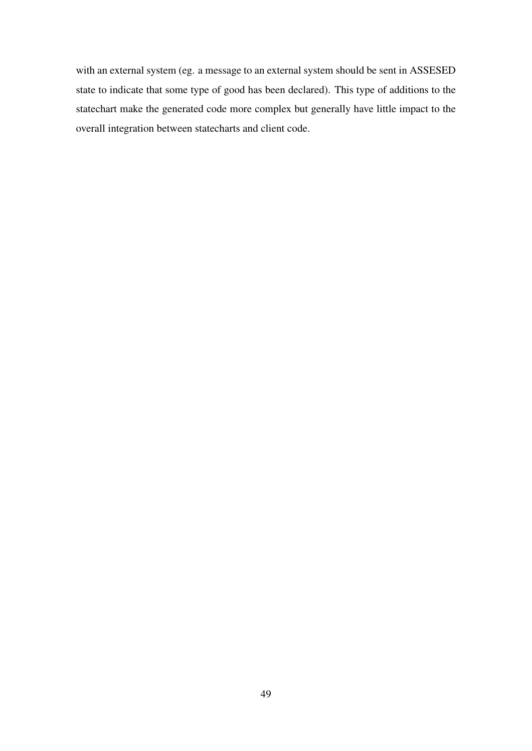with an external system (eg. a message to an external system should be sent in ASSESED state to indicate that some type of good has been declared). This type of additions to the statechart make the generated code more complex but generally have little impact to the overall integration between statecharts and client code.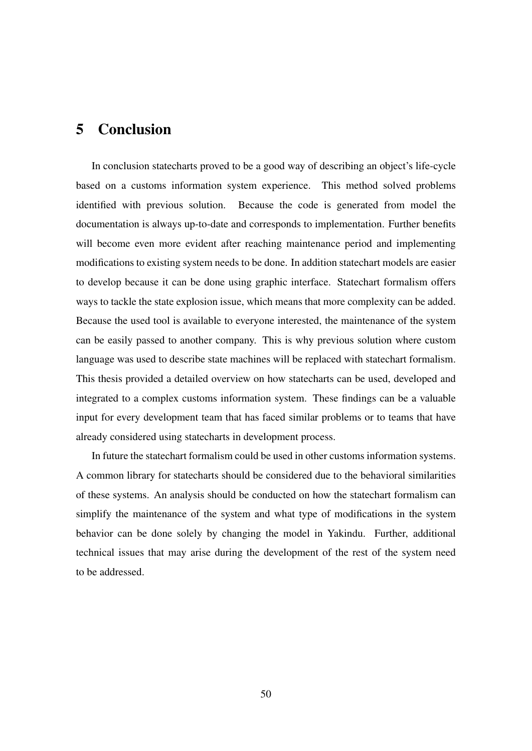### 5 Conclusion

In conclusion statecharts proved to be a good way of describing an object's life-cycle based on a customs information system experience. This method solved problems identified with previous solution. Because the code is generated from model the documentation is always up-to-date and corresponds to implementation. Further benefits will become even more evident after reaching maintenance period and implementing modifications to existing system needs to be done. In addition statechart models are easier to develop because it can be done using graphic interface. Statechart formalism offers ways to tackle the state explosion issue, which means that more complexity can be added. Because the used tool is available to everyone interested, the maintenance of the system can be easily passed to another company. This is why previous solution where custom language was used to describe state machines will be replaced with statechart formalism. This thesis provided a detailed overview on how statecharts can be used, developed and integrated to a complex customs information system. These findings can be a valuable input for every development team that has faced similar problems or to teams that have already considered using statecharts in development process.

In future the statechart formalism could be used in other customs information systems. A common library for statecharts should be considered due to the behavioral similarities of these systems. An analysis should be conducted on how the statechart formalism can simplify the maintenance of the system and what type of modifications in the system behavior can be done solely by changing the model in Yakindu. Further, additional technical issues that may arise during the development of the rest of the system need to be addressed.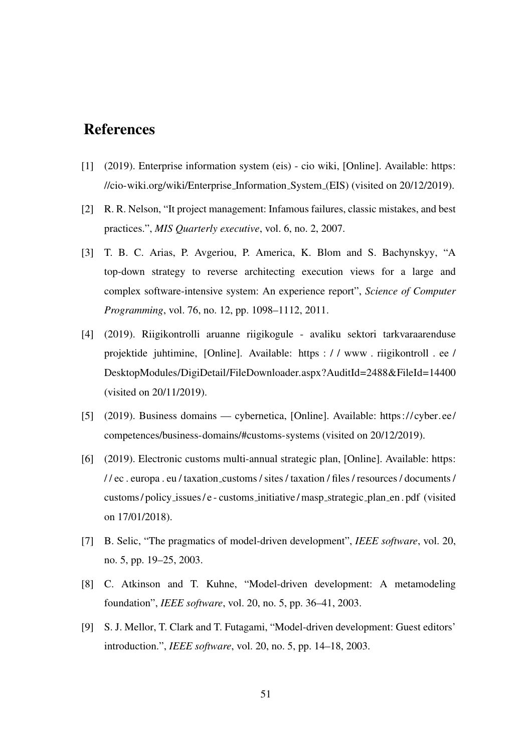## References

- [1] (2019). Enterprise information system (eis) cio wiki, [Online]. Available: [https:](https://cio-wiki.org/wiki/Enterprise_Information_System_(EIS)) [//cio-wiki.org/wiki/Enterprise](https://cio-wiki.org/wiki/Enterprise_Information_System_(EIS)) Information System (EIS) (visited on 20/12/2019).
- [2] R. R. Nelson, "It project management: Infamous failures, classic mistakes, and best practices.", *MIS Quarterly executive*, vol. 6, no. 2, 2007.
- [3] T. B. C. Arias, P. Avgeriou, P. America, K. Blom and S. Bachynskyy, "A top-down strategy to reverse architecting execution views for a large and complex software-intensive system: An experience report", *Science of Computer Programming*, vol. 76, no. 12, pp. 1098–1112, 2011.
- [4] (2019). Riigikontrolli aruanne riigikogule avaliku sektori tarkvaraarenduse projektide juhtimine, [Online]. Available: [https : / / www . riigikontroll . ee /](https://www.riigikontroll.ee/DesktopModules/DigiDetail/FileDownloader.aspx?AuditId=2488&FileId=14400) [DesktopModules/DigiDetail/FileDownloader.aspx?AuditId=2488&FileId=14400](https://www.riigikontroll.ee/DesktopModules/DigiDetail/FileDownloader.aspx?AuditId=2488&FileId=14400) (visited on 20/11/2019).
- [5] (2019). Business domains cybernetica, [Online]. Available: [https://cyber.ee/](https://cyber.ee/competences/business-domains/#customs-systems) [competences/business-domains/#customs-systems](https://cyber.ee/competences/business-domains/#customs-systems) (visited on 20/12/2019).
- [6] (2019). Electronic customs multi-annual strategic plan, [Online]. Available: [https:](https://ec.europa.eu/taxation_customs/sites/taxation/files/resources/documents/customs/policy_issues/e-customs_initiative/masp_strategic_plan_en.pdf) / / ec . europa . eu / taxation [customs / sites / taxation / files / resources / documents /](https://ec.europa.eu/taxation_customs/sites/taxation/files/resources/documents/customs/policy_issues/e-customs_initiative/masp_strategic_plan_en.pdf) customs / policy [issues / e - customs](https://ec.europa.eu/taxation_customs/sites/taxation/files/resources/documents/customs/policy_issues/e-customs_initiative/masp_strategic_plan_en.pdf) initiative / masp strategic plan en . pdf (visited on 17/01/2018).
- [7] B. Selic, "The pragmatics of model-driven development", *IEEE software*, vol. 20, no. 5, pp. 19–25, 2003.
- [8] C. Atkinson and T. Kuhne, "Model-driven development: A metamodeling foundation", *IEEE software*, vol. 20, no. 5, pp. 36–41, 2003.
- [9] S. J. Mellor, T. Clark and T. Futagami, "Model-driven development: Guest editors' introduction.", *IEEE software*, vol. 20, no. 5, pp. 14–18, 2003.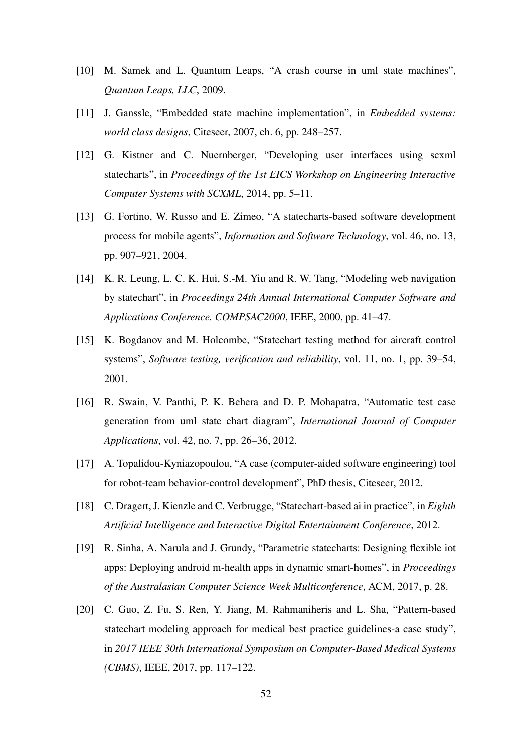- [10] M. Samek and L. Quantum Leaps, "A crash course in uml state machines", *Quantum Leaps, LLC*, 2009.
- [11] J. Ganssle, "Embedded state machine implementation", in *Embedded systems: world class designs*, Citeseer, 2007, ch. 6, pp. 248–257.
- [12] G. Kistner and C. Nuernberger, "Developing user interfaces using scxml statecharts", in *Proceedings of the 1st EICS Workshop on Engineering Interactive Computer Systems with SCXML*, 2014, pp. 5–11.
- [13] G. Fortino, W. Russo and E. Zimeo, "A statecharts-based software development process for mobile agents", *Information and Software Technology*, vol. 46, no. 13, pp. 907–921, 2004.
- [14] K. R. Leung, L. C. K. Hui, S.-M. Yiu and R. W. Tang, "Modeling web navigation by statechart", in *Proceedings 24th Annual International Computer Software and Applications Conference. COMPSAC2000*, IEEE, 2000, pp. 41–47.
- [15] K. Bogdanov and M. Holcombe, "Statechart testing method for aircraft control systems", *Software testing, verification and reliability*, vol. 11, no. 1, pp. 39–54, 2001.
- [16] R. Swain, V. Panthi, P. K. Behera and D. P. Mohapatra, "Automatic test case generation from uml state chart diagram", *International Journal of Computer Applications*, vol. 42, no. 7, pp. 26–36, 2012.
- [17] A. Topalidou-Kyniazopoulou, "A case (computer-aided software engineering) tool for robot-team behavior-control development", PhD thesis, Citeseer, 2012.
- [18] C. Dragert, J. Kienzle and C. Verbrugge, "Statechart-based ai in practice", in *Eighth Artificial Intelligence and Interactive Digital Entertainment Conference*, 2012.
- [19] R. Sinha, A. Narula and J. Grundy, "Parametric statecharts: Designing flexible iot apps: Deploying android m-health apps in dynamic smart-homes", in *Proceedings of the Australasian Computer Science Week Multiconference*, ACM, 2017, p. 28.
- [20] C. Guo, Z. Fu, S. Ren, Y. Jiang, M. Rahmaniheris and L. Sha, "Pattern-based statechart modeling approach for medical best practice guidelines-a case study", in *2017 IEEE 30th International Symposium on Computer-Based Medical Systems (CBMS)*, IEEE, 2017, pp. 117–122.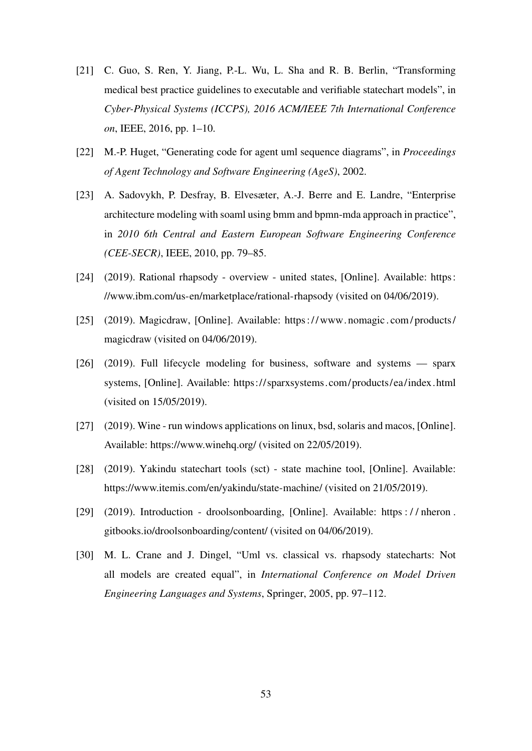- [21] C. Guo, S. Ren, Y. Jiang, P.-L. Wu, L. Sha and R. B. Berlin, "Transforming medical best practice guidelines to executable and verifiable statechart models", in *Cyber-Physical Systems (ICCPS), 2016 ACM/IEEE 7th International Conference on*, IEEE, 2016, pp. 1–10.
- [22] M.-P. Huget, "Generating code for agent uml sequence diagrams", in *Proceedings of Agent Technology and Software Engineering (AgeS)*, 2002.
- [23] A. Sadovykh, P. Desfray, B. Elvesæter, A.-J. Berre and E. Landre, "Enterprise architecture modeling with soaml using bmm and bpmn-mda approach in practice", in *2010 6th Central and Eastern European Software Engineering Conference (CEE-SECR)*, IEEE, 2010, pp. 79–85.
- [24] (2019). Rational rhapsody overview united states, [Online]. Available: [https:](https://www.ibm.com/us-en/marketplace/rational-rhapsody) [//www.ibm.com/us-en/marketplace/rational-rhapsody](https://www.ibm.com/us-en/marketplace/rational-rhapsody) (visited on 04/06/2019).
- [25] (2019). Magicdraw, [Online]. Available: [https:// www. nomagic . com/ products/](https://www.nomagic.com/products/magicdraw) [magicdraw](https://www.nomagic.com/products/magicdraw) (visited on 04/06/2019).
- [26] (2019). Full lifecycle modeling for business, software and systems sparx systems, [Online]. Available:<https://sparxsystems.com/products/ea/index.html> (visited on 15/05/2019).
- [27] (2019). Wine run windows applications on linux, bsd, solaris and macos, [Online]. Available:<https://www.winehq.org/> (visited on 22/05/2019).
- [28] (2019). Yakindu statechart tools (sct) state machine tool, [Online]. Available: <https://www.itemis.com/en/yakindu/state-machine/> (visited on 21/05/2019).
- [29] (2019). Introduction droolsonboarding, [Online]. Available: https://nheron. [gitbooks.io/droolsonboarding/content/](https://nheron.gitbooks.io/droolsonboarding/content/) (visited on 04/06/2019).
- <span id="page-52-0"></span>[30] M. L. Crane and J. Dingel, "Uml vs. classical vs. rhapsody statecharts: Not all models are created equal", in *International Conference on Model Driven Engineering Languages and Systems*, Springer, 2005, pp. 97–112.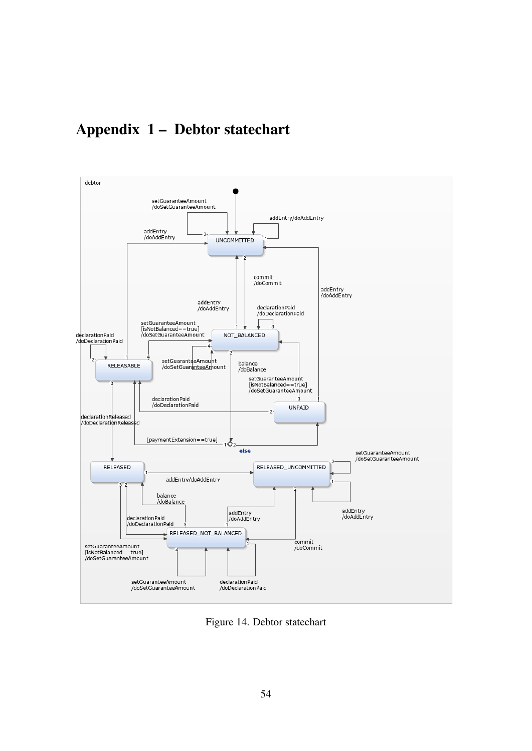# <span id="page-53-0"></span>Appendix 1 – Debtor statechart



Figure 14. Debtor statechart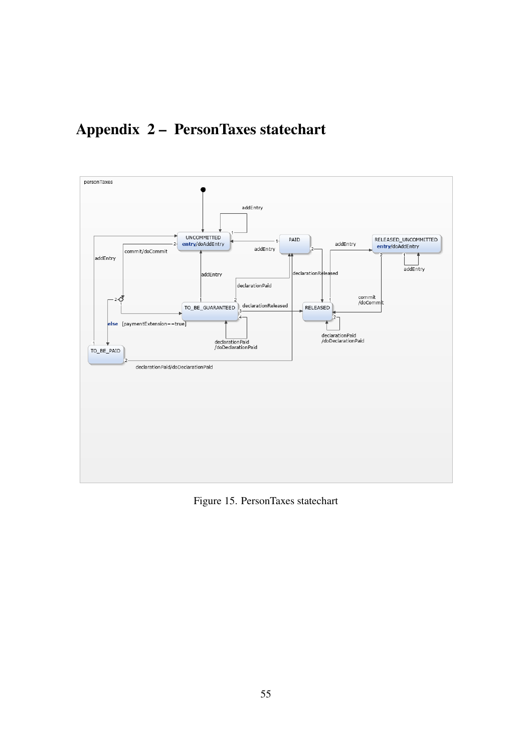# <span id="page-54-0"></span>Appendix 2 – PersonTaxes statechart



Figure 15. PersonTaxes statechart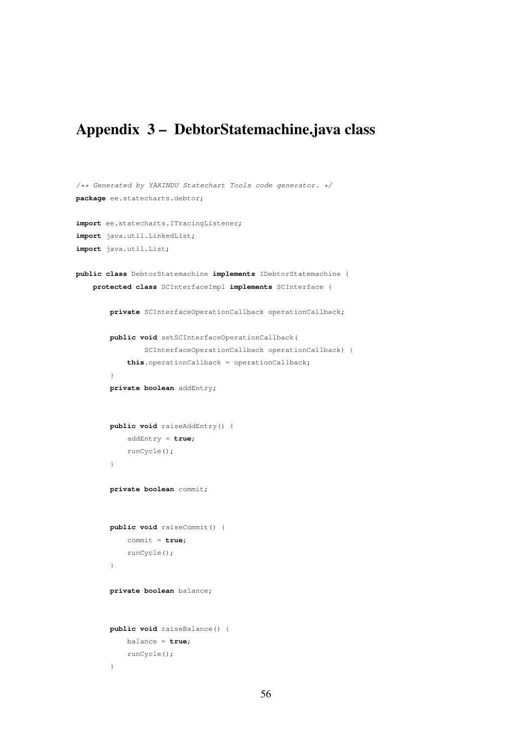## <span id="page-55-0"></span>Appendix 3 – DebtorStatemachine.java class

```
/** Generated by YAKINDU Statechart Tools code generator. */
package ee.statecharts.debtor;
import ee.statecharts.ITracingListener;
import java.util.LinkedList;
import java.util.List;
public class DebtorStatemachine implements IDebtorStatemachine {
    protected class SCInterfaceImpl implements SCInterface {
        private SCInterfaceOperationCallback operationCallback;
        public void setSCInterfaceOperationCallback(
                SCInterfaceOperationCallback operationCallback) {
            this.operationCallback = operationCallback;
        }
        private boolean addEntry;
        public void raiseAddEntry() {
           addEntry = true;
            runCycle();
        }
        private boolean commit;
        public void raiseCommit() {
            commit = true;
            runCycle();
        }
        private boolean balance;
       public void raiseBalance() {
            balance = true;
            runCycle();
        }
```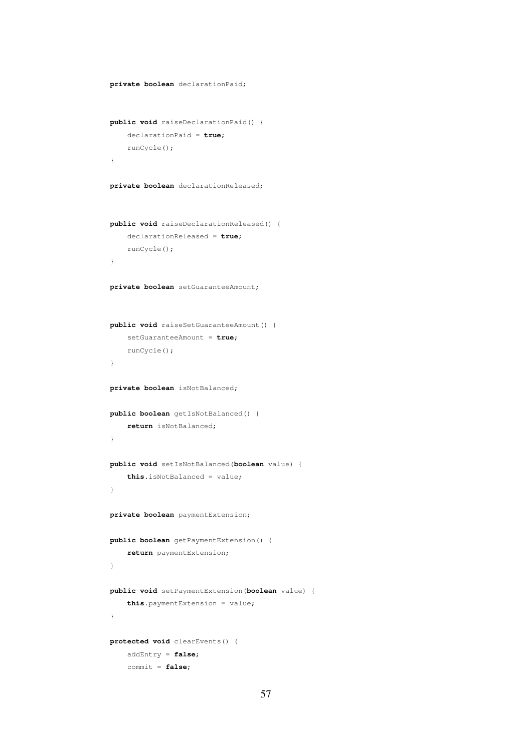```
private boolean declarationPaid;
public void raiseDeclarationPaid() {
    declarationPaid = true;
   runCycle();
}
private boolean declarationReleased;
public void raiseDeclarationReleased() {
    declarationReleased = true;
   runCycle();
}
private boolean setGuaranteeAmount;
public void raiseSetGuaranteeAmount() {
    setGuaranteeAmount = true;
    runCycle();
}
private boolean isNotBalanced;
public boolean getIsNotBalanced() {
    return isNotBalanced;
}
public void setIsNotBalanced(boolean value) {
    this.isNotBalanced = value;
}
private boolean paymentExtension;
public boolean getPaymentExtension() {
    return paymentExtension;
}
public void setPaymentExtension(boolean value) {
    this.paymentExtension = value;
}
protected void clearEvents() {
   addEntry = false;
    commit = false;
```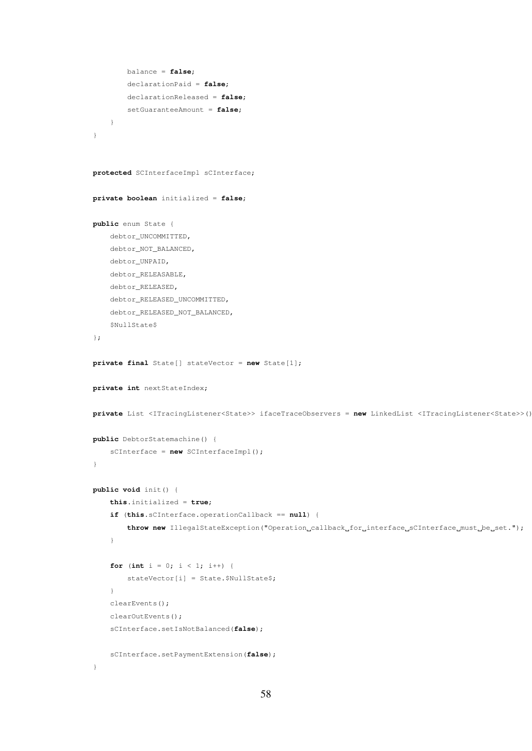```
balance = false;
        declarationPaid = false;
        declarationReleased = false;
        setGuaranteeAmount = false;
    }
}
protected SCInterfaceImpl sCInterface;
private boolean initialized = false;
public enum State {
    debtor_UNCOMMITTED,
    debtor_NOT_BALANCED,
    debtor_UNPAID,
    debtor_RELEASABLE,
    debtor_RELEASED,
    debtor_RELEASED_UNCOMMITTED,
    debtor_RELEASED_NOT_BALANCED,
    $NullState$
};
private final State[] stateVector = new State[1];
private int nextStateIndex;
private List <ITracingListener<State>> ifaceTraceObservers = new LinkedList <ITracingListener<State>>();
public DebtorStatemachine() {
    sCInterface = new SCInterfaceImpl();
}
public void init() {
    this.initialized = true;
    if (this.sCInterface.operationCallback == null) {
        throw new IllegalStateException("Operation_callback_for_interface_sCInterface_must_be_set.");
    }
    for (int i = 0; i < 1; i++) {
        stateVector[i] = State.$NullState$;
    }
    clearEvents();
    clearOutEvents();
    sCInterface.setIsNotBalanced(false);
    sCInterface.setPaymentExtension(false);
}
```

```
58
```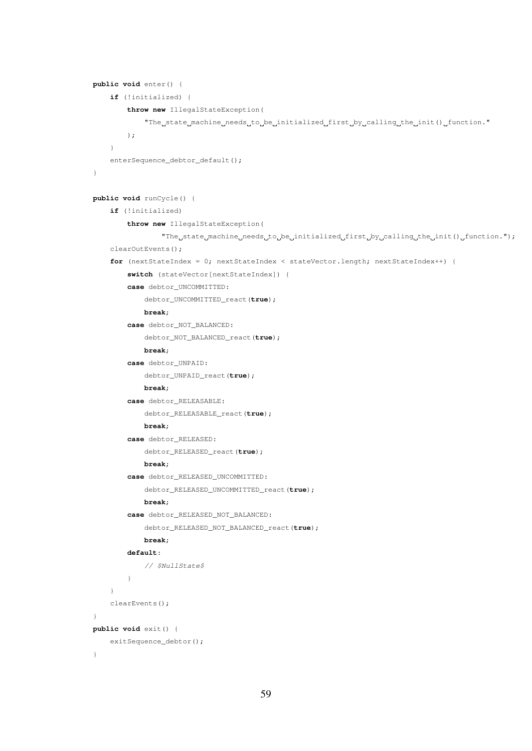```
public void enter() {
    if (!initialized) {
        throw new IllegalStateException(
            "The state machine needs to be initialized first by calling the init() function."
        );
    }
    enterSequence_debtor_default();
}
public void runCycle() {
    if (!initialized)
        throw new IllegalStateException(
                "The_state_machine_needs_to_be_initialized_first_by_calling_the_init()_function.");
    clearOutEvents();
    for (nextStateIndex = 0; nextStateIndex < stateVector.length; nextStateIndex++) {
        switch (stateVector[nextStateIndex]) {
        case debtor_UNCOMMITTED:
            debtor_UNCOMMITTED_react(true);
            break;
        case debtor_NOT_BALANCED:
            debtor_NOT_BALANCED_react(true);
            break;
        case debtor_UNPAID:
            debtor_UNPAID_react(true);
            break;
        case debtor_RELEASABLE:
            debtor_RELEASABLE_react(true);
            break;
        case debtor_RELEASED:
            debtor_RELEASED_react(true);
            break;
        case debtor_RELEASED_UNCOMMITTED:
            debtor_RELEASED_UNCOMMITTED_react(true);
            break;
        case debtor_RELEASED_NOT_BALANCED:
            debtor_RELEASED_NOT_BALANCED_react(true);
            break;
        default:
            // $NullState$
        }
    }
    clearEvents();
}
public void exit() {
    exitSequence_debtor();
}
```

```
59
```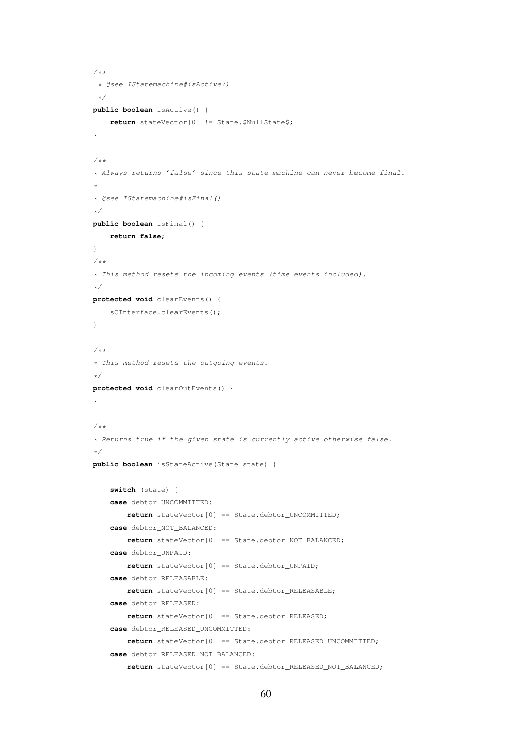```
/*** @see IStatemachine#isActive()
 \star /
public boolean isActive() {
    return stateVector[0] != State.$NullState$;
}
/** Always returns 'false' since this state machine can never become final.
*
* @see IStatemachine#isFinal()
*/
public boolean isFinal() {
   return false;
}
/** This method resets the incoming events (time events included).
*/
protected void clearEvents() {
   sCInterface.clearEvents();
}
/*** This method resets the outgoing events.
*/
protected void clearOutEvents() {
}
/** Returns true if the given state is currently active otherwise false.
*/
public boolean isStateActive(State state) {
    switch (state) {
    case debtor_UNCOMMITTED:
        return stateVector[0] == State.debtor_UNCOMMITTED;
    case debtor_NOT_BALANCED:
        return stateVector[0] == State.debtor_NOT_BALANCED;
    case debtor_UNPAID:
        return stateVector[0] == State.debtor_UNPAID;
    case debtor_RELEASABLE:
        return stateVector[0] == State.debtor_RELEASABLE;
    case debtor_RELEASED:
        return stateVector[0] == State.debtor_RELEASED;
    case debtor_RELEASED_UNCOMMITTED:
        return stateVector[0] == State.debtor_RELEASED_UNCOMMITTED;
    case debtor_RELEASED_NOT_BALANCED:
        return stateVector[0] == State.debtor_RELEASED_NOT_BALANCED;
```

```
60
```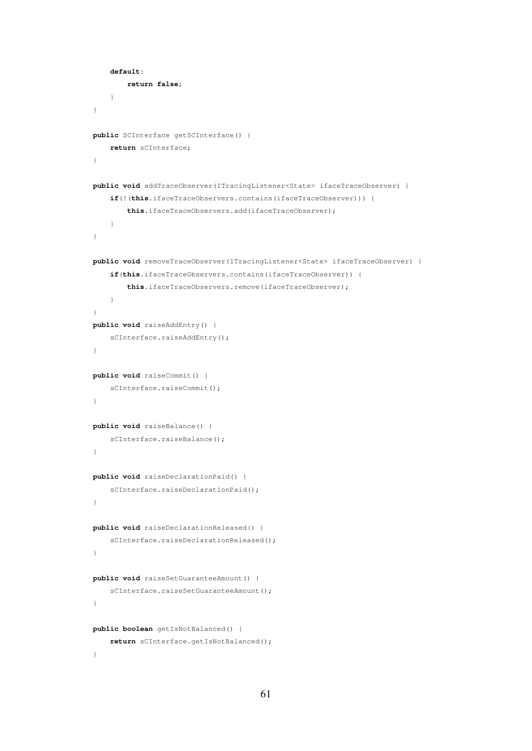```
default:
       return false;
    }
}
public SCInterface getSCInterface() {
   return sCInterface;
}
public void addTraceObserver(ITracingListener<State> ifaceTraceObserver) {
    if(!(this.ifaceTraceObservers.contains(ifaceTraceObserver))) {
        this.ifaceTraceObservers.add(ifaceTraceObserver);
    }
}
public void removeTraceObserver(ITracingListener<State> ifaceTraceObserver) {
    if(this.ifaceTraceObservers.contains(ifaceTraceObserver)) {
        this.ifaceTraceObservers.remove(ifaceTraceObserver);
    }
}
public void raiseAddEntry() {
   sCInterface.raiseAddEntry();
}
public void raiseCommit() {
   sCInterface.raiseCommit();
}
public void raiseBalance() {
   sCInterface.raiseBalance();
}
public void raiseDeclarationPaid() {
   sCInterface.raiseDeclarationPaid();
}
public void raiseDeclarationReleased() {
   sCInterface.raiseDeclarationReleased();
}
public void raiseSetGuaranteeAmount() {
   sCInterface.raiseSetGuaranteeAmount();
}
public boolean getIsNotBalanced() {
   return sCInterface.getIsNotBalanced();
}
```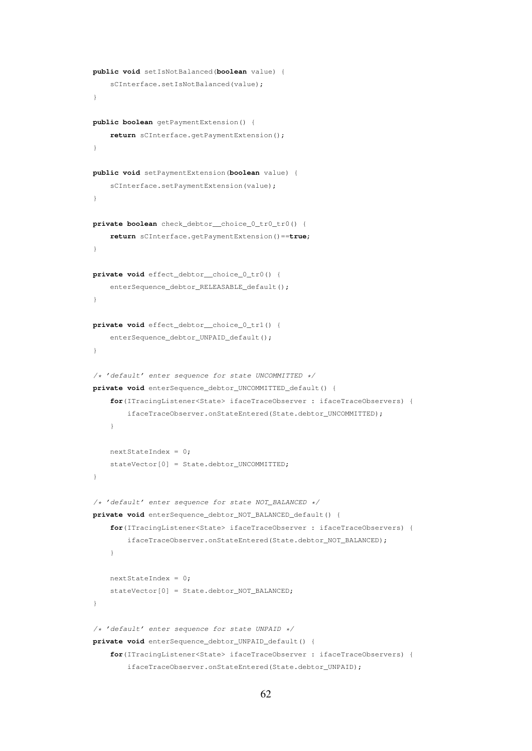```
public void setIsNotBalanced(boolean value) {
    sCInterface.setIsNotBalanced(value);
\mathbf{I}public boolean getPaymentExtension() {
    return sCInterface.getPaymentExtension();
}
public void setPaymentExtension(boolean value) {
    sCInterface.setPaymentExtension(value);
}
private boolean check_debtor__choice_0_tr0_tr0() {
    return sCInterface.getPaymentExtension()==true;
}
private void effect_debtor__choice_0_tr0() {
    enterSequence_debtor_RELEASABLE_default();
}
private void effect_debtor__choice_0_tr1() {
    enterSequence_debtor_UNPAID_default();
}
/* 'default' enter sequence for state UNCOMMITTED */
private void enterSequence debtor UNCOMMITTED default() {
    for(ITracingListener<State> ifaceTraceObserver : ifaceTraceObservers) {
        ifaceTraceObserver.onStateEntered(State.debtor_UNCOMMITTED);
    }
   nextStateIndex = 0;
    stateVector[0] = State.debtor_UNCOMMITTED;
\lambda/* 'default' enter sequence for state NOT_BALANCED */
private void enterSequence_debtor_NOT_BALANCED_default() {
    for(ITracingListener<State> ifaceTraceObserver : ifaceTraceObservers) {
        ifaceTraceObserver.onStateEntered(State.debtor_NOT_BALANCED);
    }
   nextStateIndex = 0;
    stateVector[0] = State.debtor_NOT_BALANCED;
}
/* 'default' enter sequence for state UNPAID */
private void enterSequence_debtor_UNPAID_default() {
    for(ITracingListener<State> ifaceTraceObserver : ifaceTraceObservers) {
        ifaceTraceObserver.onStateEntered(State.debtor_UNPAID);
```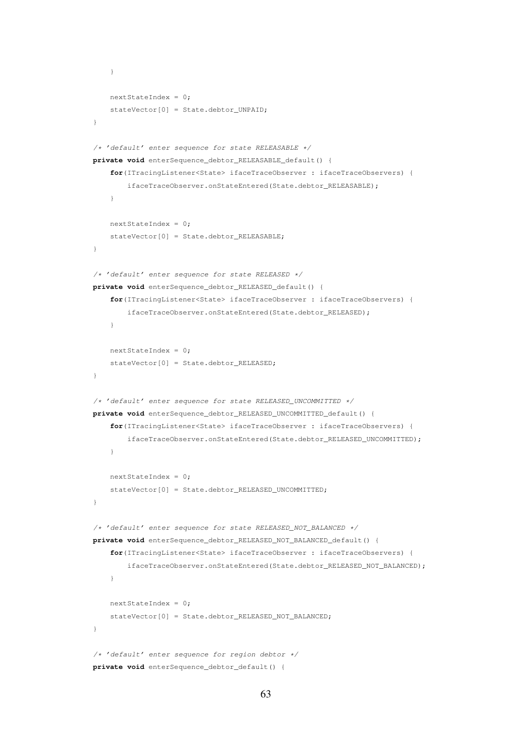```
}
    nextStateIndex = 0;
    stateVector[0] = State.debtor_UNPAID;
}
/* 'default' enter sequence for state RELEASABLE */
private void enterSequence_debtor_RELEASABLE_default() {
    for(ITracingListener<State> ifaceTraceObserver : ifaceTraceObservers) {
        ifaceTraceObserver.onStateEntered(State.debtor_RELEASABLE);
    }
   nextStateIndex = 0;
    stateVector[0] = State.debtor_RELEASABLE;
}
/* 'default' enter sequence for state RELEASED */
private void enterSequence_debtor_RELEASED_default() {
    for(ITracingListener<State> ifaceTraceObserver : ifaceTraceObservers) {
        ifaceTraceObserver.onStateEntered(State.debtor_RELEASED);
    }
    nextStateIndex = 0;
   stateVector[0] = State.debtor_RELEASED;
}
/* 'default' enter sequence for state RELEASED_UNCOMMITTED */
private void enterSequence_debtor_RELEASED_UNCOMMITTED_default() {
    for(ITracingListener<State> ifaceTraceObserver : ifaceTraceObservers) {
        ifaceTraceObserver.onStateEntered(State.debtor_RELEASED_UNCOMMITTED);
    }
   nextStateIndex = 0;
    stateVector[0] = State.debtor_RELEASED_UNCOMMITTED;
}
/* 'default' enter sequence for state RELEASED_NOT_BALANCED */
private void enterSequence_debtor_RELEASED_NOT_BALANCED_default() {
    for(ITracingListener<State> ifaceTraceObserver : ifaceTraceObservers) {
        ifaceTraceObserver.onStateEntered(State.debtor_RELEASED_NOT_BALANCED);
    }
   nextStateIndex = 0;
    stateVector[0] = State.debtor_RELEASED_NOT_BALANCED;
}
/* 'default' enter sequence for region debtor */private void enterSequence_debtor_default() {
```

```
63
```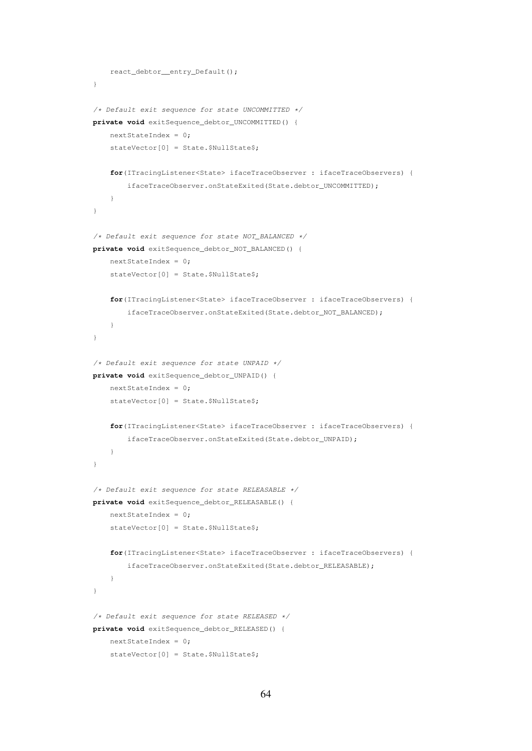```
react_debtor__entry_Default();
}
/* Default exit sequence for state UNCOMMITTED */
private void exitSequence_debtor_UNCOMMITTED() {
    nextStateIndex = 0;
    stateVector[0] = State.$NullState$;
    for(ITracingListener<State> ifaceTraceObserver : ifaceTraceObservers) {
        ifaceTraceObserver.onStateExited(State.debtor_UNCOMMITTED);
    }
}
/* Default exit sequence for state NOT_BALANCED */
private void exitSequence_debtor_NOT_BALANCED() {
    nextStateIndex = 0;
    stateVector[0] = State.$NullState$;
    for(ITracingListener<State> ifaceTraceObserver : ifaceTraceObservers) {
       ifaceTraceObserver.onStateExited(State.debtor_NOT_BALANCED);
    }
}
/* Default exit sequence for state UNPAID */
private void exitSequence_debtor_UNPAID() {
   nextStateIndex = 0;
    stateVector[0] = State.$NullState$;
    for(ITracingListener<State> ifaceTraceObserver : ifaceTraceObservers) {
       ifaceTraceObserver.onStateExited(State.debtor_UNPAID);
   }
}
/* Default exit sequence for state RELEASABLE */
private void exitSequence_debtor_RELEASABLE() {
    nextStateIndex = 0;
    stateVector[0] = State.$NullState$;
    for(ITracingListener<State> ifaceTraceObserver : ifaceTraceObservers) {
        ifaceTraceObserver.onStateExited(State.debtor_RELEASABLE);
    }
}
/* Default exit sequence for state RELEASED */
private void exitSequence_debtor_RELEASED() {
   nextStateIndex = 0;
    stateVector[0] = State.$NullState$;
```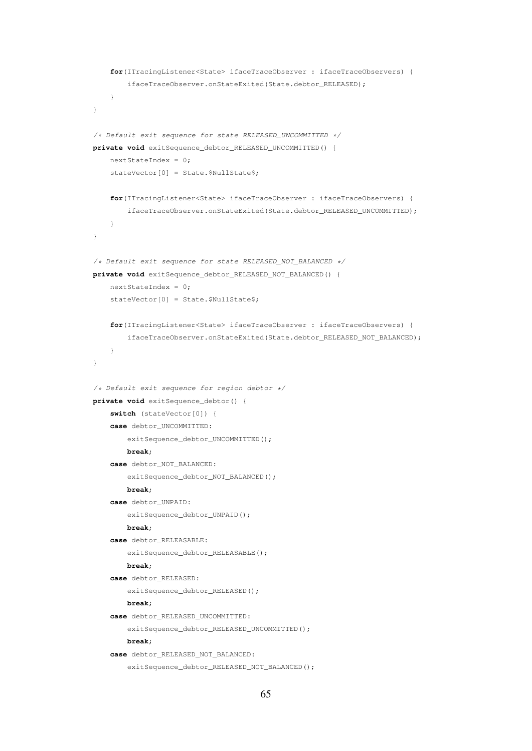```
for(ITracingListener<State> ifaceTraceObserver : ifaceTraceObservers) {
        ifaceTraceObserver.onStateExited(State.debtor_RELEASED);
    }
}
/* Default exit sequence for state RELEASED_UNCOMMITTED */
private void exitSequence_debtor_RELEASED_UNCOMMITTED() {
    nextStateIndex = 0;stateVector[0] = State.$NullState$;
    for(ITracingListener<State> ifaceTraceObserver : ifaceTraceObservers) {
        ifaceTraceObserver.onStateExited(State.debtor_RELEASED_UNCOMMITTED);
    }
}
/* Default exit sequence for state RELEASED_NOT_BALANCED */
private void exitSequence_debtor_RELEASED_NOT_BALANCED() {
    nextStateIndex = 0;
    stateVector[0] = State.$NullState$;
    for(ITracingListener<State> ifaceTraceObserver : ifaceTraceObservers) {
        ifaceTraceObserver.onStateExited(State.debtor_RELEASED_NOT_BALANCED);
    }
}
/* Default exit sequence for region debtor */
private void exitSequence_debtor() {
    switch (stateVector[0]) {
    case debtor_UNCOMMITTED:
        exitSequence_debtor_UNCOMMITTED();
        break;
    case debtor_NOT_BALANCED:
        exitSequence_debtor_NOT_BALANCED();
       break;
    case debtor_UNPAID:
        exitSequence_debtor_UNPAID();
       break;
    case debtor_RELEASABLE:
        exitSequence_debtor_RELEASABLE();
        break;
    case debtor_RELEASED:
        exitSequence_debtor_RELEASED();
       break;
    case debtor_RELEASED_UNCOMMITTED:
        exitSequence_debtor_RELEASED_UNCOMMITTED();
       break;
    case debtor_RELEASED_NOT_BALANCED:
        exitSequence_debtor_RELEASED_NOT_BALANCED();
```

```
65
```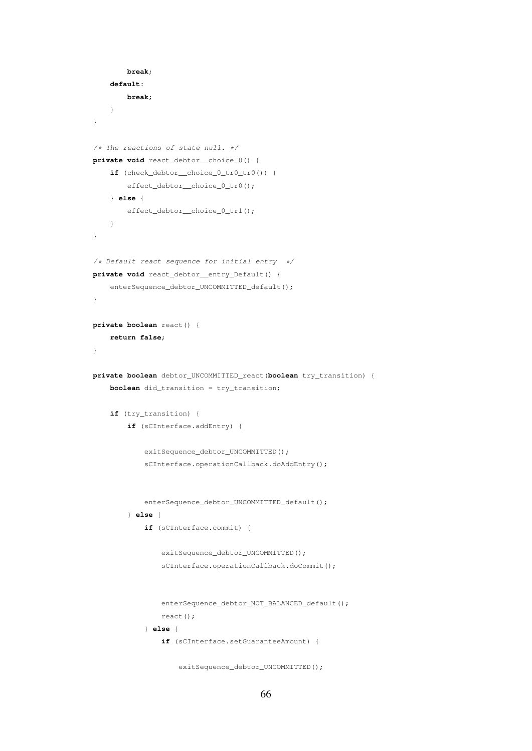```
break;
    default:
       break;
    }
}
/* The reactions of state null. */
private void react_debtor__choice_0() {
    if (check_debtor__choice_0_tr0_tr0()) {
        effect_debtor__choice_0_tr0();
    } else {
       effect_debtor__choice_0_tr1();
    }
}
/* Default react sequence for initial entry */private void react_debtor__entry_Default() {
    enterSequence_debtor_UNCOMMITTED_default();
}
private boolean react() {
    return false;
}
private boolean debtor_UNCOMMITTED_react(boolean try_transition) {
   boolean did_transition = try_transition;
    if (try_transition) {
        if (sCInterface.addEntry) {
            exitSequence_debtor_UNCOMMITTED();
            sCInterface.operationCallback.doAddEntry();
            enterSequence_debtor_UNCOMMITTED_default();
        } else {
            if (sCInterface.commit) {
                exitSequence_debtor_UNCOMMITTED();
                sCInterface.operationCallback.doCommit();
                enterSequence_debtor_NOT_BALANCED_default();
                react();
            } else {
                if (sCInterface.setGuaranteeAmount) {
                    exitSequence_debtor_UNCOMMITTED();
```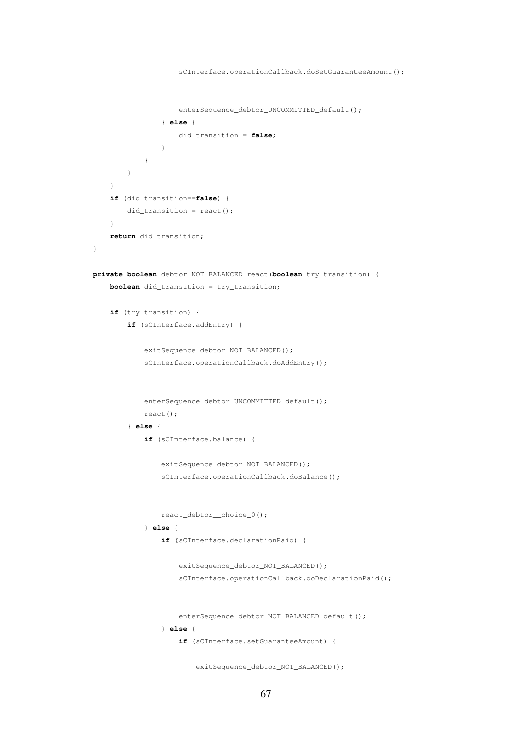```
enterSequence_debtor_UNCOMMITTED_default();
                } else {
                    did_transition = false;
                }
            }
        }
    }
   if (did_transition==false) {
       did_transition = react();
    }
    return did_transition;
}
private boolean debtor_NOT_BALANCED_react(boolean try_transition) {
   boolean did_transition = try_transition;
    if (try_transition) {
        if (sCInterface.addEntry) {
            exitSequence_debtor_NOT_BALANCED();
            sCInterface.operationCallback.doAddEntry();
            enterSequence_debtor_UNCOMMITTED_default();
            react();
        } else {
            if (sCInterface.balance) {
                exitSequence_debtor_NOT_BALANCED();
                sCInterface.operationCallback.doBalance();
                react_debtor__choice_0();
            } else {
                if (sCInterface.declarationPaid) {
                    exitSequence_debtor_NOT_BALANCED();
                    sCInterface.operationCallback.doDeclarationPaid();
                    enterSequence_debtor_NOT_BALANCED_default();
                } else {
                    if (sCInterface.setGuaranteeAmount) {
```
sCInterface.operationCallback.doSetGuaranteeAmount();

```
67
```
exitSequence\_debtor\_NOT\_BALANCED();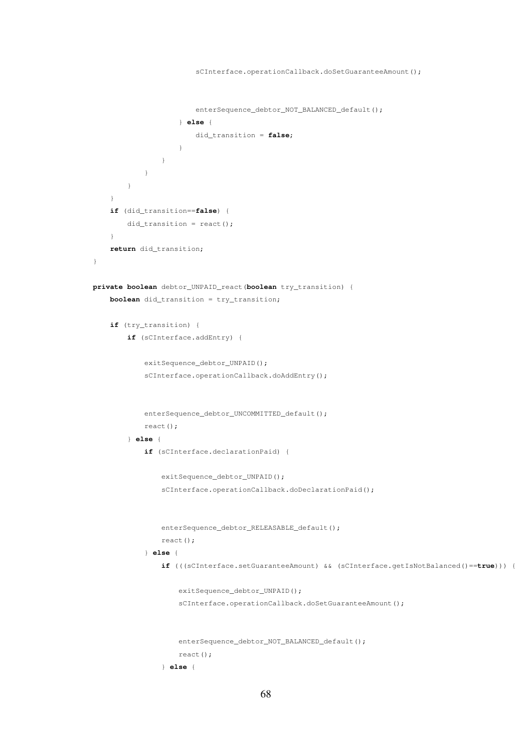```
enterSequence_debtor_NOT_BALANCED_default();
                    } else {
                        did_transition = false;
                    }
               }
           }
        }
    }
    if (did_transition==false) {
       did_transition = react();
    }
   return did_transition;
}
private boolean debtor_UNPAID_react(boolean try_transition) {
   boolean did_transition = try_transition;
    if (try_transition) {
       if (sCInterface.addEntry) {
            exitSequence_debtor_UNPAID();
            sCInterface.operationCallback.doAddEntry();
            enterSequence_debtor_UNCOMMITTED_default();
            react();
        } else {
            if (sCInterface.declarationPaid) {
                exitSequence_debtor_UNPAID();
                sCInterface.operationCallback.doDeclarationPaid();
                enterSequence_debtor_RELEASABLE_default();
                react();
            } else {
                if (((sCInterface.setGuaranteeAmount) && (sCInterface.getIsNotBalanced()==true))) {
                    exitSequence_debtor_UNPAID();
                    sCInterface.operationCallback.doSetGuaranteeAmount();
                    enterSequence_debtor_NOT_BALANCED_default();
                    react();
                } else {
```
sCInterface.operationCallback.doSetGuaranteeAmount();

```
68
```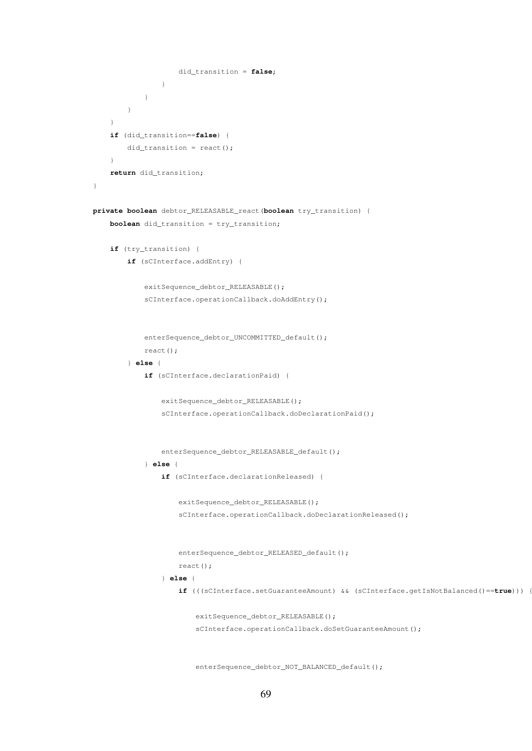```
did_transition = false;
               }
           }
       }
    }
    if (did_transition==false) {
       did_transition = react();
    }
   return did_transition;
}
private boolean debtor_RELEASABLE_react(boolean try_transition) {
   boolean did_transition = try_transition;
    if (try_transition) {
       if (sCInterface.addEntry) {
            exitSequence_debtor_RELEASABLE();
            sCInterface.operationCallback.doAddEntry();
            enterSequence_debtor_UNCOMMITTED_default();
            react();
        } else {
            if (sCInterface.declarationPaid) {
                exitSequence_debtor_RELEASABLE();
                sCInterface.operationCallback.doDeclarationPaid();
                enterSequence_debtor_RELEASABLE_default();
            } else {
                if (sCInterface.declarationReleased) {
                    exitSequence_debtor_RELEASABLE();
                    sCInterface.operationCallback.doDeclarationReleased();
                    enterSequence_debtor_RELEASED_default();
                    react();
                } else {
                    if (((sCInterface.setGuaranteeAmount) && (sCInterface.getIsNotBalanced()==true))) {
                        exitSequence_debtor_RELEASABLE();
                        sCInterface.operationCallback.doSetGuaranteeAmount();
```

```
enterSequence_debtor_NOT_BALANCED_default();
```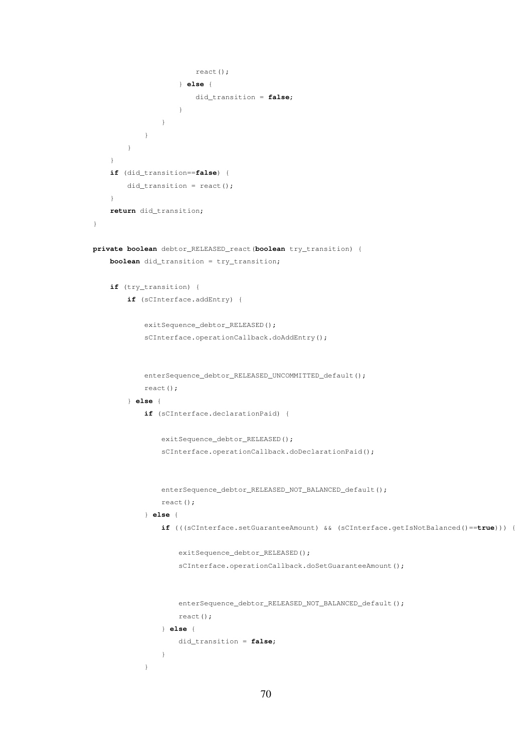```
react();
                    } else {
                        did_transition = false;
                    }
              \qquad \}}
        }
    }
    if (did_transition==false) {
        did_transition = react();
    }
    return did_transition;
}
private boolean debtor_RELEASED_react(boolean try_transition) {
   boolean did_transition = try_transition;
    if (try_transition) {
       if (sCInterface.addEntry) {
            exitSequence_debtor_RELEASED();
            sCInterface.operationCallback.doAddEntry();
            enterSequence_debtor_RELEASED_UNCOMMITTED_default();
            react();
        } else {
            if (sCInterface.declarationPaid) {
                exitSequence_debtor_RELEASED();
                sCInterface.operationCallback.doDeclarationPaid();
                enterSequence_debtor_RELEASED_NOT_BALANCED_default();
                react();
            } else {
                if (((sCInterface.setGuaranteeAmount) && (sCInterface.getIsNotBalanced()==true))) {
                    exitSequence_debtor_RELEASED();
                    sCInterface.operationCallback.doSetGuaranteeAmount();
                    enterSequence_debtor_RELEASED_NOT_BALANCED_default();
                    react();
                } else {
                    did_transition = false;
                }
            }
```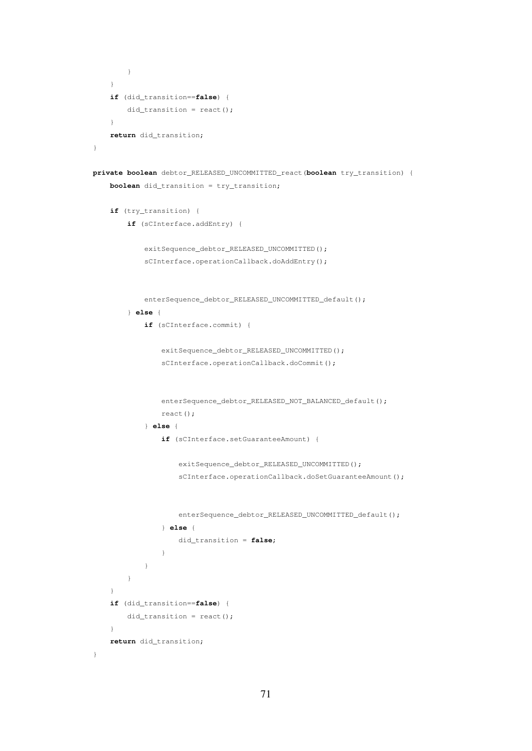```
}
    }
    if (did_transition==false) {
       did_transition = react();
    }
    return did_transition;
}
```

```
private boolean debtor_RELEASED_UNCOMMITTED_react(boolean try_transition) {
    boolean did_transition = try_transition;
    if (try_transition) {
       if (sCInterface.addEntry) {
            exitSequence_debtor_RELEASED_UNCOMMITTED();
            sCInterface.operationCallback.doAddEntry();
            enterSequence_debtor_RELEASED_UNCOMMITTED_default();
        } else {
            if (sCInterface.commit) {
                exitSequence_debtor_RELEASED_UNCOMMITTED();
                sCInterface.operationCallback.doCommit();
                enterSequence_debtor_RELEASED_NOT_BALANCED_default();
                react();
            } else {
                if (sCInterface.setGuaranteeAmount) {
                    exitSequence_debtor_RELEASED_UNCOMMITTED();
                    sCInterface.operationCallback.doSetGuaranteeAmount();
                    enterSequence_debtor_RELEASED_UNCOMMITTED_default();
                } else {
                    did_transition = false;
                }
            }
        }
    }
    if (did_transition==false) {
       did_transition = react();
    }
   return did_transition;
}
```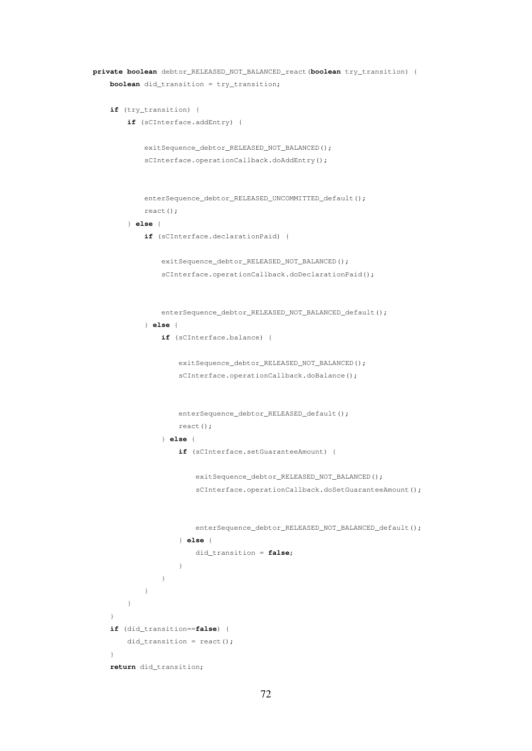```
private boolean debtor_RELEASED_NOT_BALANCED_react(boolean try_transition) {
    boolean did_transition = try_transition;
    if (try_transition) {
        if (sCInterface.addEntry) {
            exitSequence_debtor_RELEASED_NOT_BALANCED();
            sCInterface.operationCallback.doAddEntry();
            enterSequence_debtor_RELEASED_UNCOMMITTED_default();
            react();
        } else {
            if (sCInterface.declarationPaid) {
                exitSequence_debtor_RELEASED_NOT_BALANCED();
                sCInterface.operationCallback.doDeclarationPaid();
                enterSequence_debtor_RELEASED_NOT_BALANCED_default();
            } else {
                if (sCInterface.balance) {
                    exitSequence_debtor_RELEASED_NOT_BALANCED();
                    sCInterface.operationCallback.doBalance();
                    enterSequence_debtor_RELEASED_default();
                    react();
                } else {
                    if (sCInterface.setGuaranteeAmount) {
                        exitSequence_debtor_RELEASED_NOT_BALANCED();
                        sCInterface.operationCallback.doSetGuaranteeAmount();
                        enterSequence_debtor_RELEASED_NOT_BALANCED_default();
                    } else {
                        did_transition = false;
                    }
                }
            }
        }
    }
    if (did_transition==false) {
        did\_transition = react();
    \lambdareturn did_transition;
```

```
72
```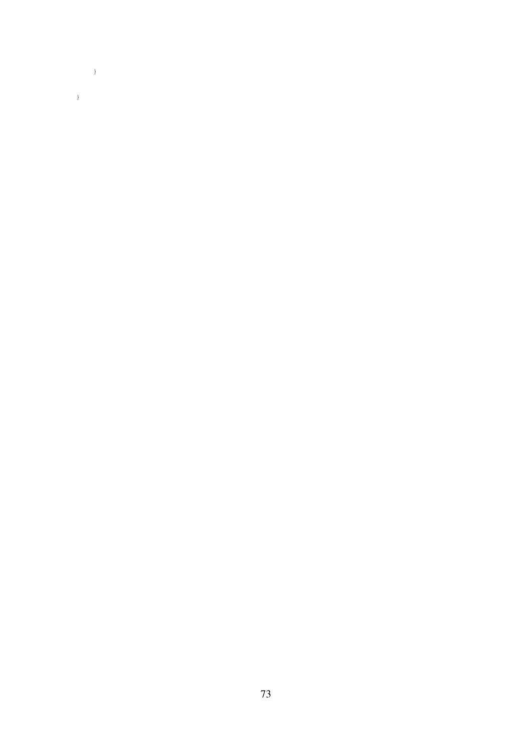$\mathbb{R}^3$ 

}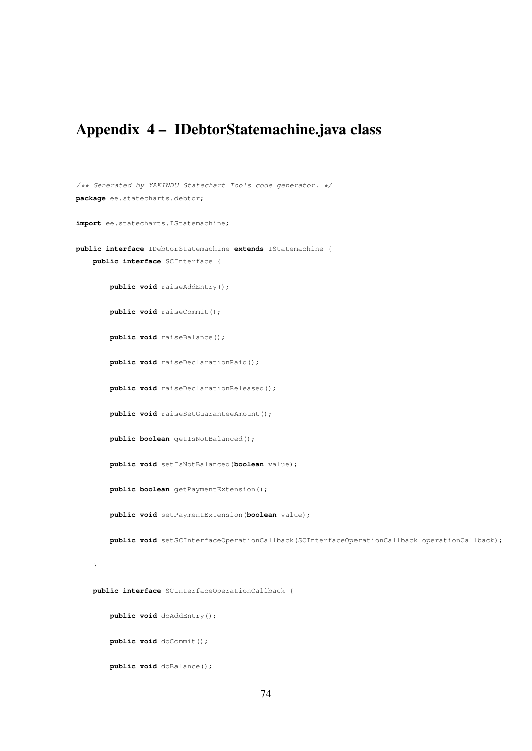## Appendix 4 – IDebtorStatemachine.java class

```
/** Generated by YAKINDU Statechart Tools code generator. */
package ee.statecharts.debtor;
import ee.statecharts.IStatemachine;
public interface IDebtorStatemachine extends IStatemachine {
    public interface SCInterface {
        public void raiseAddEntry();
        public void raiseCommit();
        public void raiseBalance();
        public void raiseDeclarationPaid();
        public void raiseDeclarationReleased();
        public void raiseSetGuaranteeAmount();
       public boolean getIsNotBalanced();
        public void setIsNotBalanced(boolean value);
        public boolean getPaymentExtension();
        public void setPaymentExtension(boolean value);
        public void setSCInterfaceOperationCallback(SCInterfaceOperationCallback operationCallback);
    }
    public interface SCInterfaceOperationCallback {
       public void doAddEntry();
       public void doCommit();
        public void doBalance();
```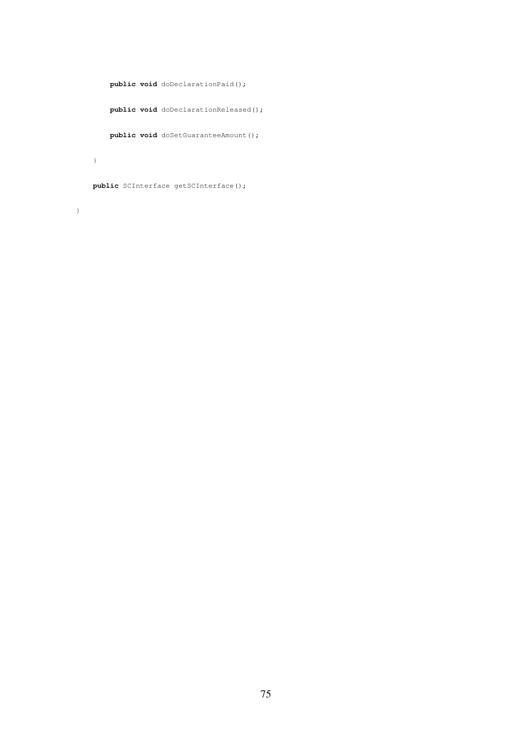```
public void doDeclarationPaid();
    public void doDeclarationReleased();
    public void doSetGuaranteeAmount();
}
```
**public** SCInterface getSCInterface();

}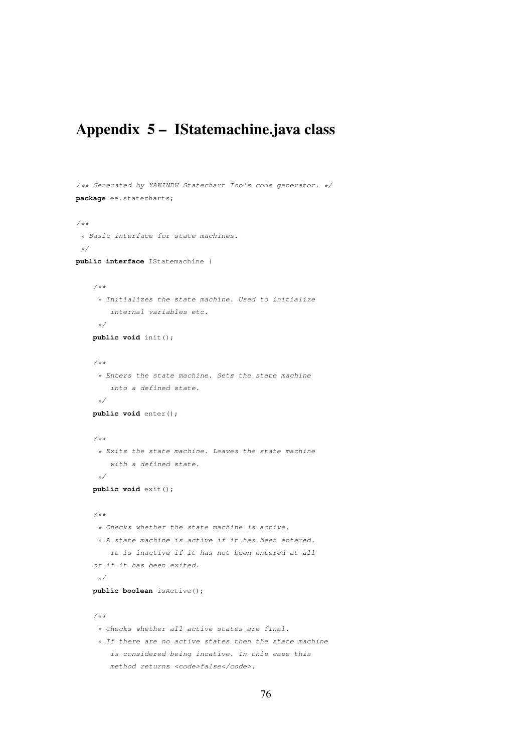## Appendix 5 – IStatemachine.java class

```
/** Generated by YAKINDU Statechart Tools code generator. */
package ee.statecharts;
/** Basic interface for state machines.
 */
public interface IStatemachine {
    /*** Initializes the state machine. Used to initialize
       internal variables etc.
     */
    public void init();
    /**
     * Enters the state machine. Sets the state machine
       into a defined state.
     */
    public void enter();
    /*** Exits the state machine. Leaves the state machine
        with a defined state.
     */
    public void exit();
    /*** Checks whether the state machine is active.
     * A state machine is active if it has been entered.
        It is inactive if it has not been entered at all
    or if it has been exited.
     */
    public boolean isActive();
    / * ** Checks whether all active states are final.
     * If there are no active states then the state machine
       is considered being incative. In this case this
        method returns <code>false</code>.
```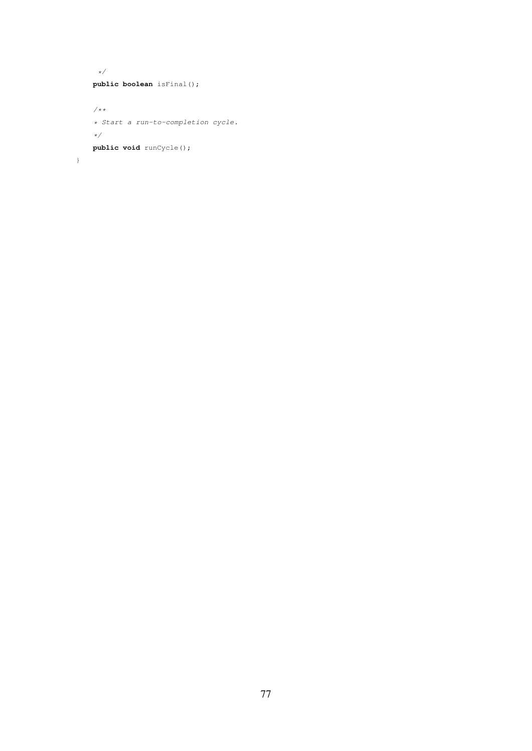```
*/
   public boolean isFinal();
   /**
   * Start a run-to-completion cycle.
   */
  public void runCycle();
}
```